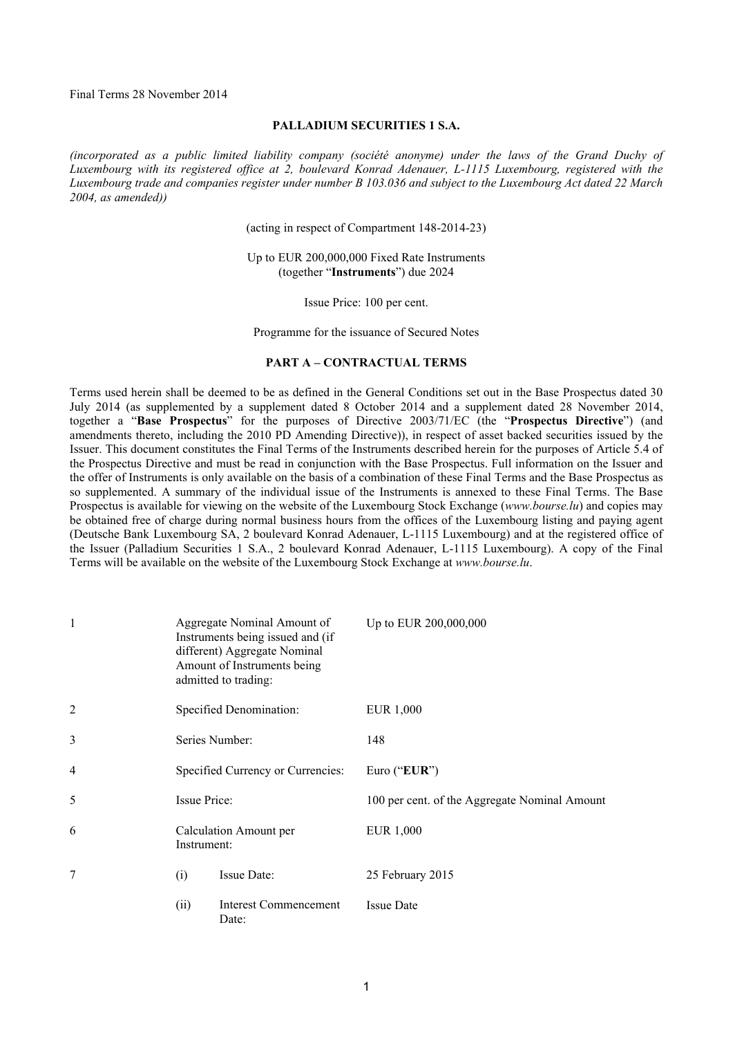Final Terms 28 November 2014

#### **PALLADIUM SECURITIES 1 S.A.**

*(incorporated as a public limited liability company (société anonyme) under the laws of the Grand Duchy of Luxembourg with its registered office at 2, boulevard Konrad Adenauer, L-1115 Luxembourg, registered with the Luxembourg trade and companies register under number B 103.036 and subject to the Luxembourg Act dated 22 March 2004, as amended))*

(acting in respect of Compartment 148-2014-23)

Up to EUR 200,000,000 Fixed Rate Instruments (together "**Instruments**") due 2024

Issue Price: 100 per cent.

Programme for the issuance of Secured Notes

### **PART A – CONTRACTUAL TERMS**

Terms used herein shall be deemed to be as defined in the General Conditions set out in the Base Prospectus dated 30 July 2014 (as supplemented by a supplement dated 8 October 2014 and a supplement dated 28 November 2014, together a "**Base Prospectus**" for the purposes of Directive 2003/71/EC (the "**Prospectus Directive**") (and amendments thereto, including the 2010 PD Amending Directive)), in respect of asset backed securities issued by the Issuer. This document constitutes the Final Terms of the Instruments described herein for the purposes of Article 5.4 of the Prospectus Directive and must be read in conjunction with the Base Prospectus. Full information on the Issuer and the offer of Instruments is only available on the basis of a combination of these Final Terms and the Base Prospectus as so supplemented. A summary of the individual issue of the Instruments is annexed to these Final Terms. The Base Prospectus is available for viewing on the website of the Luxembourg Stock Exchange (*www.bourse.lu*) and copies may be obtained free of charge during normal business hours from the offices of the Luxembourg listing and paying agent (Deutsche Bank Luxembourg SA, 2 boulevard Konrad Adenauer, L-1115 Luxembourg) and at the registered office of the Issuer (Palladium Securities 1 S.A., 2 boulevard Konrad Adenauer, L-1115 Luxembourg). A copy of the Final Terms will be available on the website of the Luxembourg Stock Exchange at *www.bourse.lu*.

| 1              | Aggregate Nominal Amount of<br>Instruments being issued and (if<br>different) Aggregate Nominal<br>Amount of Instruments being<br>admitted to trading: | Up to EUR 200,000,000                         |
|----------------|--------------------------------------------------------------------------------------------------------------------------------------------------------|-----------------------------------------------|
| $\overline{2}$ | Specified Denomination:                                                                                                                                | EUR 1,000                                     |
| 3              | Series Number:                                                                                                                                         | 148                                           |
| $\overline{4}$ | Specified Currency or Currencies:                                                                                                                      | Euro ("EUR")                                  |
| 5              | <b>Issue Price:</b>                                                                                                                                    | 100 per cent. of the Aggregate Nominal Amount |
| 6              | Calculation Amount per<br>Instrument:                                                                                                                  | EUR 1,000                                     |
| 7              | Issue Date:<br>(i)                                                                                                                                     | 25 February 2015                              |
|                | <b>Interest Commencement</b><br>(ii)<br>Date:                                                                                                          | <b>Issue Date</b>                             |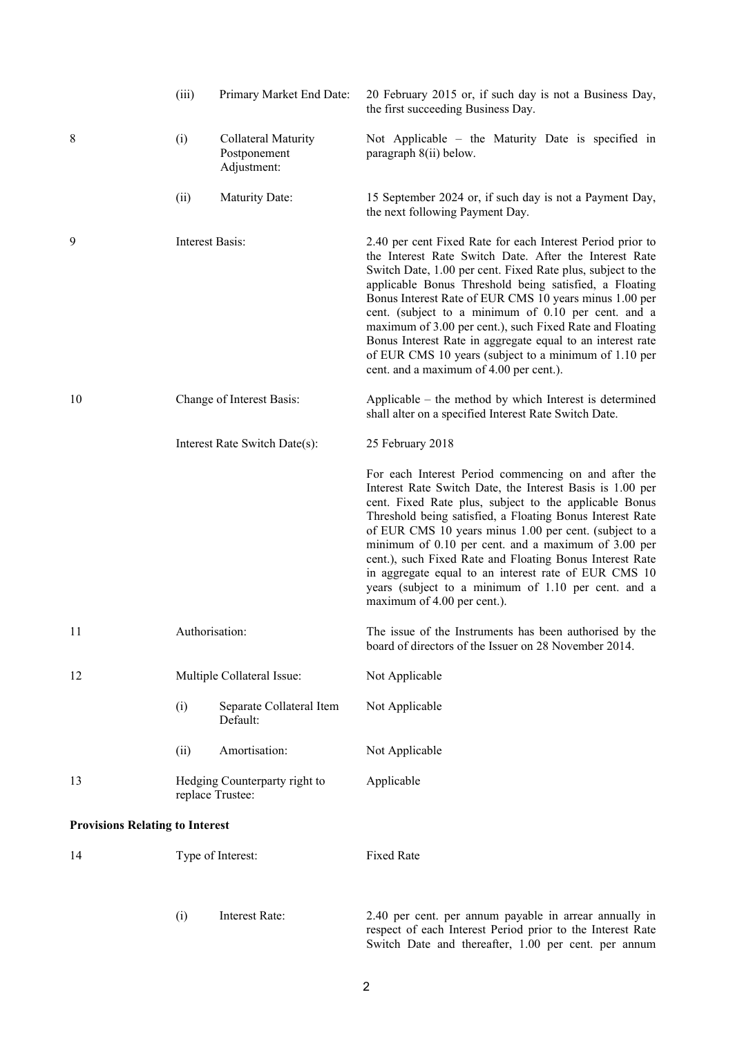|                                        | (iii)            | Primary Market End Date:                           | 20 February 2015 or, if such day is not a Business Day,<br>the first succeeding Business Day.                                                                                                                                                                                                                                                                                                                                                                                                                                                                                                |
|----------------------------------------|------------------|----------------------------------------------------|----------------------------------------------------------------------------------------------------------------------------------------------------------------------------------------------------------------------------------------------------------------------------------------------------------------------------------------------------------------------------------------------------------------------------------------------------------------------------------------------------------------------------------------------------------------------------------------------|
| 8                                      | (i)              | Collateral Maturity<br>Postponement<br>Adjustment: | Not Applicable – the Maturity Date is specified in<br>paragraph 8(ii) below.                                                                                                                                                                                                                                                                                                                                                                                                                                                                                                                 |
|                                        | (ii)             | <b>Maturity Date:</b>                              | 15 September 2024 or, if such day is not a Payment Day,<br>the next following Payment Day.                                                                                                                                                                                                                                                                                                                                                                                                                                                                                                   |
| 9                                      | Interest Basis:  |                                                    | 2.40 per cent Fixed Rate for each Interest Period prior to<br>the Interest Rate Switch Date. After the Interest Rate<br>Switch Date, 1.00 per cent. Fixed Rate plus, subject to the<br>applicable Bonus Threshold being satisfied, a Floating<br>Bonus Interest Rate of EUR CMS 10 years minus 1.00 per<br>cent. (subject to a minimum of 0.10 per cent. and a<br>maximum of 3.00 per cent.), such Fixed Rate and Floating<br>Bonus Interest Rate in aggregate equal to an interest rate<br>of EUR CMS 10 years (subject to a minimum of 1.10 per<br>cent. and a maximum of 4.00 per cent.). |
| 10                                     |                  | Change of Interest Basis:                          | Applicable – the method by which Interest is determined<br>shall alter on a specified Interest Rate Switch Date.                                                                                                                                                                                                                                                                                                                                                                                                                                                                             |
|                                        |                  | Interest Rate Switch Date(s):                      | 25 February 2018                                                                                                                                                                                                                                                                                                                                                                                                                                                                                                                                                                             |
|                                        |                  |                                                    | For each Interest Period commencing on and after the<br>Interest Rate Switch Date, the Interest Basis is 1.00 per<br>cent. Fixed Rate plus, subject to the applicable Bonus<br>Threshold being satisfied, a Floating Bonus Interest Rate<br>of EUR CMS 10 years minus 1.00 per cent. (subject to a<br>minimum of 0.10 per cent. and a maximum of 3.00 per<br>cent.), such Fixed Rate and Floating Bonus Interest Rate<br>in aggregate equal to an interest rate of EUR CMS 10<br>years (subject to a minimum of 1.10 per cent. and a<br>maximum of 4.00 per cent.).                          |
| 11                                     | Authorisation:   |                                                    | The issue of the Instruments has been authorised by the<br>board of directors of the Issuer on 28 November 2014.                                                                                                                                                                                                                                                                                                                                                                                                                                                                             |
| 12                                     |                  | Multiple Collateral Issue:                         | Not Applicable                                                                                                                                                                                                                                                                                                                                                                                                                                                                                                                                                                               |
|                                        | (i)              | Separate Collateral Item<br>Default:               | Not Applicable                                                                                                                                                                                                                                                                                                                                                                                                                                                                                                                                                                               |
|                                        | (ii)             | Amortisation:                                      | Not Applicable                                                                                                                                                                                                                                                                                                                                                                                                                                                                                                                                                                               |
| 13                                     | replace Trustee: | Hedging Counterparty right to                      | Applicable                                                                                                                                                                                                                                                                                                                                                                                                                                                                                                                                                                                   |
| <b>Provisions Relating to Interest</b> |                  |                                                    |                                                                                                                                                                                                                                                                                                                                                                                                                                                                                                                                                                                              |
| 14                                     |                  | Type of Interest:                                  | <b>Fixed Rate</b>                                                                                                                                                                                                                                                                                                                                                                                                                                                                                                                                                                            |
|                                        | (i)              | Interest Rate:                                     | 2.40 per cent. per annum payable in arrear annually in<br>respect of each Interest Period prior to the Interest Rate<br>Switch Date and thereafter, 1.00 per cent. per annum                                                                                                                                                                                                                                                                                                                                                                                                                 |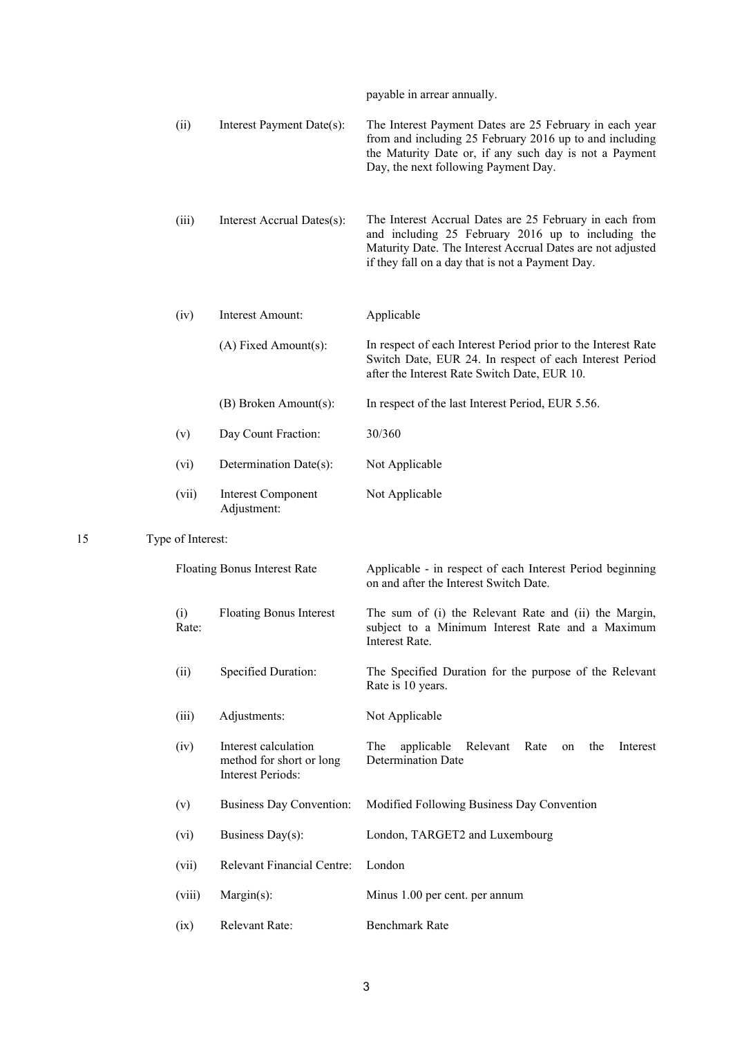payable in arrear annually.

|    | (ii)              | Interest Payment Date(s):                                             | The Interest Payment Dates are 25 February in each year<br>from and including 25 February 2016 up to and including<br>the Maturity Date or, if any such day is not a Payment<br>Day, the next following Payment Day.            |
|----|-------------------|-----------------------------------------------------------------------|---------------------------------------------------------------------------------------------------------------------------------------------------------------------------------------------------------------------------------|
|    | (iii)             | Interest Accrual Dates(s):                                            | The Interest Accrual Dates are 25 February in each from<br>and including 25 February 2016 up to including the<br>Maturity Date. The Interest Accrual Dates are not adjusted<br>if they fall on a day that is not a Payment Day. |
|    | (iv)              | Interest Amount:                                                      | Applicable                                                                                                                                                                                                                      |
|    |                   | $(A)$ Fixed Amount $(s)$ :                                            | In respect of each Interest Period prior to the Interest Rate<br>Switch Date, EUR 24. In respect of each Interest Period<br>after the Interest Rate Switch Date, EUR 10.                                                        |
|    |                   | (B) Broken Amount(s):                                                 | In respect of the last Interest Period, EUR 5.56.                                                                                                                                                                               |
|    | (v)               | Day Count Fraction:                                                   | 30/360                                                                                                                                                                                                                          |
|    | (vi)              | Determination Date(s):                                                | Not Applicable                                                                                                                                                                                                                  |
|    | (vii)             | <b>Interest Component</b><br>Adjustment:                              | Not Applicable                                                                                                                                                                                                                  |
| 15 | Type of Interest: |                                                                       |                                                                                                                                                                                                                                 |
|    |                   | Floating Bonus Interest Rate                                          |                                                                                                                                                                                                                                 |
|    |                   |                                                                       | Applicable - in respect of each Interest Period beginning<br>on and after the Interest Switch Date.                                                                                                                             |
|    | (i)<br>Rate:      | <b>Floating Bonus Interest</b>                                        | The sum of (i) the Relevant Rate and (ii) the Margin,<br>subject to a Minimum Interest Rate and a Maximum<br>Interest Rate.                                                                                                     |
|    | (ii)              | Specified Duration:                                                   | The Specified Duration for the purpose of the Relevant<br>Rate is 10 years.                                                                                                                                                     |
|    | (iii)             | Adjustments:                                                          | Not Applicable                                                                                                                                                                                                                  |
|    | (iv)              | Interest calculation<br>method for short or long<br>Interest Periods: | The<br>applicable<br>Relevant<br>Rate<br>the<br>Interest<br>on<br><b>Determination Date</b>                                                                                                                                     |
|    | (v)               | <b>Business Day Convention:</b>                                       | Modified Following Business Day Convention                                                                                                                                                                                      |
|    | (vi)              | Business Day(s):                                                      | London, TARGET2 and Luxembourg                                                                                                                                                                                                  |
|    | (vii)             | <b>Relevant Financial Centre:</b>                                     | London                                                                                                                                                                                                                          |
|    | (viii)            | $Margin(s)$ :                                                         | Minus 1.00 per cent. per annum                                                                                                                                                                                                  |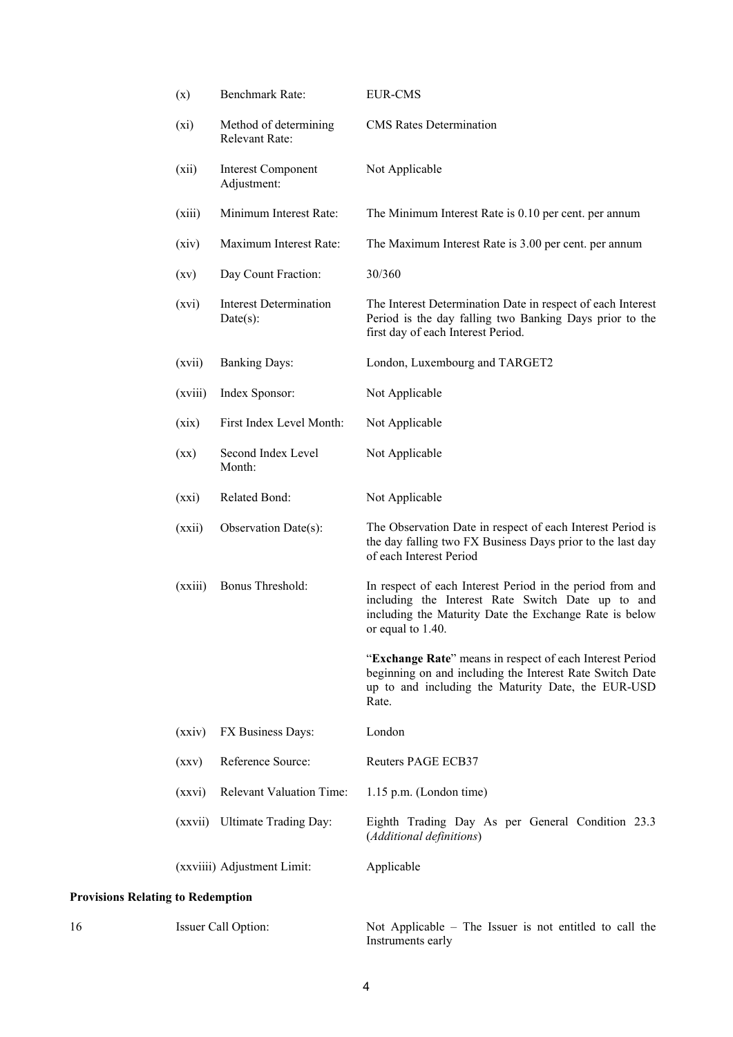|                                          | (x)                      | Benchmark Rate:                              | <b>EUR-CMS</b>                                                                                                                                                                                |
|------------------------------------------|--------------------------|----------------------------------------------|-----------------------------------------------------------------------------------------------------------------------------------------------------------------------------------------------|
|                                          | (xi)                     | Method of determining<br>Relevant Rate:      | <b>CMS</b> Rates Determination                                                                                                                                                                |
|                                          | (xii)                    | <b>Interest Component</b><br>Adjustment:     | Not Applicable                                                                                                                                                                                |
|                                          | (xiii)                   | Minimum Interest Rate:                       | The Minimum Interest Rate is 0.10 per cent. per annum                                                                                                                                         |
|                                          | (xiv)                    | Maximum Interest Rate:                       | The Maximum Interest Rate is 3.00 per cent. per annum                                                                                                                                         |
|                                          | $\left( xy\right)$       | Day Count Fraction:                          | 30/360                                                                                                                                                                                        |
|                                          | (xvi)                    | <b>Interest Determination</b><br>$Date(s)$ : | The Interest Determination Date in respect of each Interest<br>Period is the day falling two Banking Days prior to the<br>first day of each Interest Period.                                  |
|                                          | (xvii)                   | <b>Banking Days:</b>                         | London, Luxembourg and TARGET2                                                                                                                                                                |
|                                          | (xviii)                  | Index Sponsor:                               | Not Applicable                                                                                                                                                                                |
|                                          | (xix)                    | First Index Level Month:                     | Not Applicable                                                                                                                                                                                |
|                                          | $(\mathbf{X}\mathbf{X})$ | Second Index Level<br>Month:                 | Not Applicable                                                                                                                                                                                |
|                                          | (xxi)                    | Related Bond:                                | Not Applicable                                                                                                                                                                                |
|                                          | (xxii)                   | Observation Date(s):                         | The Observation Date in respect of each Interest Period is<br>the day falling two FX Business Days prior to the last day<br>of each Interest Period                                           |
|                                          | (xxiii)                  | Bonus Threshold:                             | In respect of each Interest Period in the period from and<br>including the Interest Rate Switch Date up to and<br>including the Maturity Date the Exchange Rate is below<br>or equal to 1.40. |
|                                          |                          |                                              | "Exchange Rate" means in respect of each Interest Period<br>beginning on and including the Interest Rate Switch Date<br>up to and including the Maturity Date, the EUR-USD<br>Rate.           |
|                                          | (xxiv)                   | FX Business Days:                            | London                                                                                                                                                                                        |
|                                          | (xxy)                    | Reference Source:                            | <b>Reuters PAGE ECB37</b>                                                                                                                                                                     |
|                                          | (xxvi)                   | Relevant Valuation Time:                     | $1.15$ p.m. (London time)                                                                                                                                                                     |
|                                          | (xxvii)                  | <b>Ultimate Trading Day:</b>                 | Eighth Trading Day As per General Condition 23.3<br>(Additional definitions)                                                                                                                  |
|                                          |                          | (xxviiii) Adjustment Limit:                  | Applicable                                                                                                                                                                                    |
| <b>Provisions Relating to Redemption</b> |                          |                                              |                                                                                                                                                                                               |
| 16                                       |                          | Issuer Call Option:                          | Not Applicable $-$ The Issuer is not entitled to call the<br>Instruments early                                                                                                                |

# 4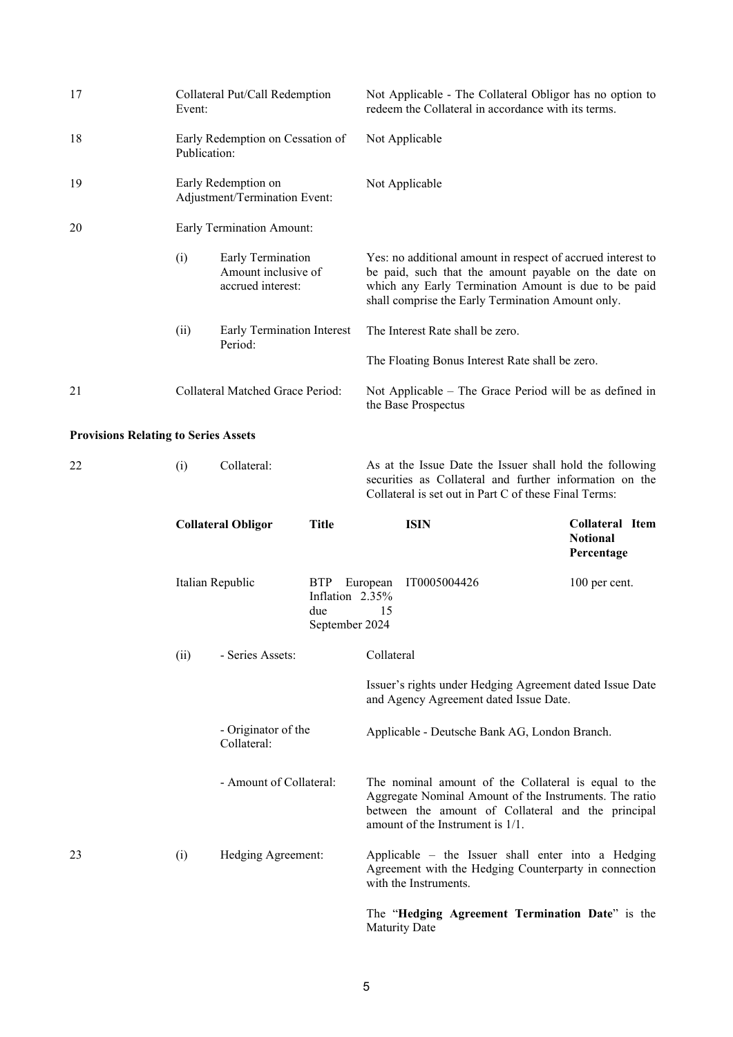| 17                                          | Collateral Put/Call Redemption<br>Event:         |                                                               |                                                        | Not Applicable - The Collateral Obligor has no option to<br>redeem the Collateral in accordance with its terms.                                                                                                                  |                               |
|---------------------------------------------|--------------------------------------------------|---------------------------------------------------------------|--------------------------------------------------------|----------------------------------------------------------------------------------------------------------------------------------------------------------------------------------------------------------------------------------|-------------------------------|
| 18                                          | Early Redemption on Cessation of<br>Publication: |                                                               |                                                        | Not Applicable                                                                                                                                                                                                                   |                               |
| 19                                          |                                                  | Early Redemption on<br>Adjustment/Termination Event:          |                                                        | Not Applicable                                                                                                                                                                                                                   |                               |
| 20                                          |                                                  | Early Termination Amount:                                     |                                                        |                                                                                                                                                                                                                                  |                               |
|                                             | (i)                                              | Early Termination<br>Amount inclusive of<br>accrued interest: |                                                        | Yes: no additional amount in respect of accrued interest to<br>be paid, such that the amount payable on the date on<br>which any Early Termination Amount is due to be paid<br>shall comprise the Early Termination Amount only. |                               |
|                                             | (ii)                                             | Early Termination Interest<br>Period:                         |                                                        | The Interest Rate shall be zero.                                                                                                                                                                                                 |                               |
|                                             |                                                  |                                                               |                                                        | The Floating Bonus Interest Rate shall be zero.                                                                                                                                                                                  |                               |
| 21                                          |                                                  | Collateral Matched Grace Period:                              |                                                        | Not Applicable – The Grace Period will be as defined in<br>the Base Prospectus                                                                                                                                                   |                               |
| <b>Provisions Relating to Series Assets</b> |                                                  |                                                               |                                                        |                                                                                                                                                                                                                                  |                               |
| 22                                          | (i)                                              | Collateral:                                                   |                                                        | As at the Issue Date the Issuer shall hold the following<br>securities as Collateral and further information on the<br>Collateral is set out in Part C of these Final Terms:                                                     |                               |
|                                             |                                                  | <b>Collateral Obligor</b>                                     | <b>Title</b>                                           | <b>ISIN</b>                                                                                                                                                                                                                      | Collateral Item               |
|                                             |                                                  |                                                               |                                                        |                                                                                                                                                                                                                                  | <b>Notional</b><br>Percentage |
|                                             |                                                  | Italian Republic                                              | <b>BTP</b><br>Inflation 2.35%<br>due<br>September 2024 | IT0005004426<br>European<br>15                                                                                                                                                                                                   | 100 per cent.                 |
|                                             | (ii)                                             | - Series Assets:                                              |                                                        | Collateral                                                                                                                                                                                                                       |                               |
|                                             |                                                  |                                                               |                                                        | Issuer's rights under Hedging Agreement dated Issue Date<br>and Agency Agreement dated Issue Date.                                                                                                                               |                               |
|                                             |                                                  | - Originator of the<br>Collateral:                            |                                                        | Applicable - Deutsche Bank AG, London Branch.                                                                                                                                                                                    |                               |
|                                             |                                                  | - Amount of Collateral:                                       |                                                        | The nominal amount of the Collateral is equal to the<br>Aggregate Nominal Amount of the Instruments. The ratio<br>between the amount of Collateral and the principal<br>amount of the Instrument is 1/1.                         |                               |
| 23                                          | (i)                                              | Hedging Agreement:                                            |                                                        | Applicable – the Issuer shall enter into a Hedging<br>Agreement with the Hedging Counterparty in connection<br>with the Instruments.                                                                                             |                               |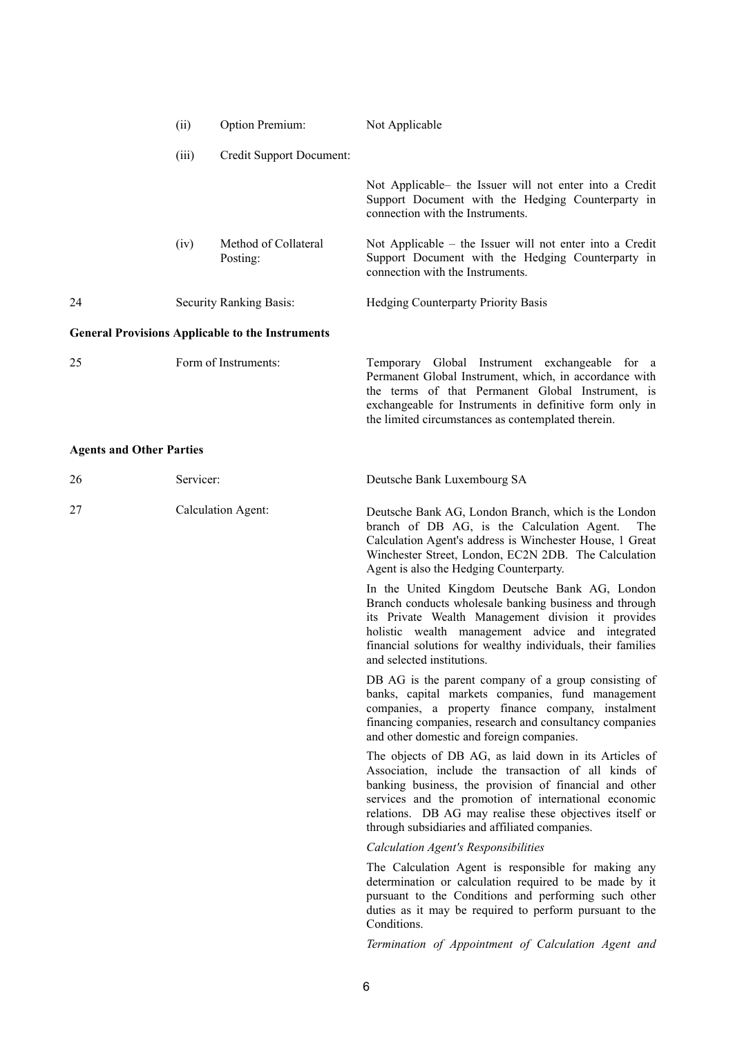|    | (ii)  | Option Premium:                                         | Not Applicable                                                                                                                                                   |
|----|-------|---------------------------------------------------------|------------------------------------------------------------------------------------------------------------------------------------------------------------------|
|    | (iii) | Credit Support Document:                                |                                                                                                                                                                  |
|    |       |                                                         | Not Applicable the Issuer will not enter into a Credit<br>Support Document with the Hedging Counterparty in<br>connection with the Instruments.                  |
|    | (iv)  | Method of Collateral<br>Posting:                        | Not Applicable – the Issuer will not enter into a Credit<br>Support Document with the Hedging Counterparty in<br>connection with the Instruments.                |
| 24 |       | Security Ranking Basis:                                 | <b>Hedging Counterparty Priority Basis</b>                                                                                                                       |
|    |       | <b>General Provisions Applicable to the Instruments</b> |                                                                                                                                                                  |
| 25 |       | Form of Instruments:                                    | Global Instrument exchangeable for a<br>Temporary<br>Permanent Global Instrument, which, in accordance with<br>the terms of that Permanent Global Instrument, is |

exchangeable for Instruments in definitive form only in

the limited circumstances as contemplated therein.

# **Agents and Other Parties**

| 26 | Servicer:          | Deutsche Bank Luxembourg SA                                                                                                                                                                                                                                                                                                                  |
|----|--------------------|----------------------------------------------------------------------------------------------------------------------------------------------------------------------------------------------------------------------------------------------------------------------------------------------------------------------------------------------|
| 27 | Calculation Agent: | Deutsche Bank AG, London Branch, which is the London<br>branch of DB AG, is the Calculation Agent.<br>The<br>Calculation Agent's address is Winchester House, 1 Great<br>Winchester Street, London, EC2N 2DB. The Calculation<br>Agent is also the Hedging Counterparty.                                                                     |
|    |                    | In the United Kingdom Deutsche Bank AG, London<br>Branch conducts wholesale banking business and through<br>its Private Wealth Management division it provides<br>holistic wealth management advice and integrated<br>financial solutions for wealthy individuals, their families<br>and selected institutions.                              |
|    |                    | DB AG is the parent company of a group consisting of<br>banks, capital markets companies, fund management<br>companies, a property finance company, instalment<br>financing companies, research and consultancy companies<br>and other domestic and foreign companies.                                                                       |
|    |                    | The objects of DB AG, as laid down in its Articles of<br>Association, include the transaction of all kinds of<br>banking business, the provision of financial and other<br>services and the promotion of international economic<br>relations. DB AG may realise these objectives itself or<br>through subsidiaries and affiliated companies. |
|    |                    | <b>Calculation Agent's Responsibilities</b>                                                                                                                                                                                                                                                                                                  |
|    |                    | The Calculation Agent is responsible for making any<br>determination or calculation required to be made by it<br>pursuant to the Conditions and performing such other<br>duties as it may be required to perform pursuant to the<br>Conditions.                                                                                              |
|    |                    | Termination of Appointment of Calculation Agent and                                                                                                                                                                                                                                                                                          |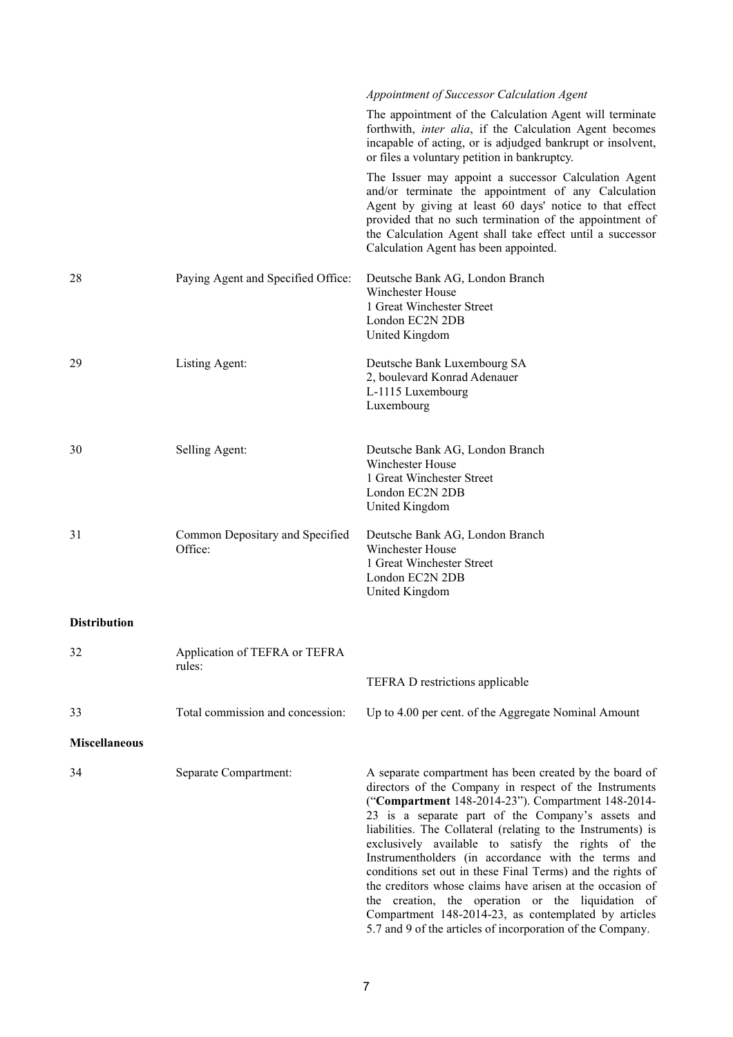|                      |                                            | Appointment of Successor Calculation Agent                                                                                                                                                                                                                                                                                                                                                                                                                                                                                                                                                                                                                                                                      |
|----------------------|--------------------------------------------|-----------------------------------------------------------------------------------------------------------------------------------------------------------------------------------------------------------------------------------------------------------------------------------------------------------------------------------------------------------------------------------------------------------------------------------------------------------------------------------------------------------------------------------------------------------------------------------------------------------------------------------------------------------------------------------------------------------------|
|                      |                                            | The appointment of the Calculation Agent will terminate<br>forthwith, <i>inter alia</i> , if the Calculation Agent becomes<br>incapable of acting, or is adjudged bankrupt or insolvent,<br>or files a voluntary petition in bankruptcy.                                                                                                                                                                                                                                                                                                                                                                                                                                                                        |
|                      |                                            | The Issuer may appoint a successor Calculation Agent<br>and/or terminate the appointment of any Calculation<br>Agent by giving at least 60 days' notice to that effect<br>provided that no such termination of the appointment of<br>the Calculation Agent shall take effect until a successor<br>Calculation Agent has been appointed.                                                                                                                                                                                                                                                                                                                                                                         |
| 28                   | Paying Agent and Specified Office:         | Deutsche Bank AG, London Branch<br>Winchester House<br>1 Great Winchester Street<br>London EC2N 2DB<br>United Kingdom                                                                                                                                                                                                                                                                                                                                                                                                                                                                                                                                                                                           |
| 29                   | Listing Agent:                             | Deutsche Bank Luxembourg SA<br>2, boulevard Konrad Adenauer<br>L-1115 Luxembourg<br>Luxembourg                                                                                                                                                                                                                                                                                                                                                                                                                                                                                                                                                                                                                  |
| 30                   | Selling Agent:                             | Deutsche Bank AG, London Branch<br>Winchester House<br>1 Great Winchester Street<br>London EC2N 2DB<br>United Kingdom                                                                                                                                                                                                                                                                                                                                                                                                                                                                                                                                                                                           |
| 31                   | Common Depositary and Specified<br>Office: | Deutsche Bank AG, London Branch<br>Winchester House<br>1 Great Winchester Street<br>London EC2N 2DB<br>United Kingdom                                                                                                                                                                                                                                                                                                                                                                                                                                                                                                                                                                                           |
| <b>Distribution</b>  |                                            |                                                                                                                                                                                                                                                                                                                                                                                                                                                                                                                                                                                                                                                                                                                 |
| 32                   | Application of TEFRA or TEFRA<br>rules:    |                                                                                                                                                                                                                                                                                                                                                                                                                                                                                                                                                                                                                                                                                                                 |
|                      |                                            | TEFRA D restrictions applicable                                                                                                                                                                                                                                                                                                                                                                                                                                                                                                                                                                                                                                                                                 |
| 33                   | Total commission and concession:           | Up to 4.00 per cent. of the Aggregate Nominal Amount                                                                                                                                                                                                                                                                                                                                                                                                                                                                                                                                                                                                                                                            |
| <b>Miscellaneous</b> |                                            |                                                                                                                                                                                                                                                                                                                                                                                                                                                                                                                                                                                                                                                                                                                 |
| 34                   | Separate Compartment:                      | A separate compartment has been created by the board of<br>directors of the Company in respect of the Instruments<br>("Compartment 148-2014-23"). Compartment 148-2014-<br>23 is a separate part of the Company's assets and<br>liabilities. The Collateral (relating to the Instruments) is<br>exclusively available to satisfy the rights of the<br>Instrumentholders (in accordance with the terms and<br>conditions set out in these Final Terms) and the rights of<br>the creditors whose claims have arisen at the occasion of<br>the creation, the operation or the liquidation of<br>Compartment 148-2014-23, as contemplated by articles<br>5.7 and 9 of the articles of incorporation of the Company. |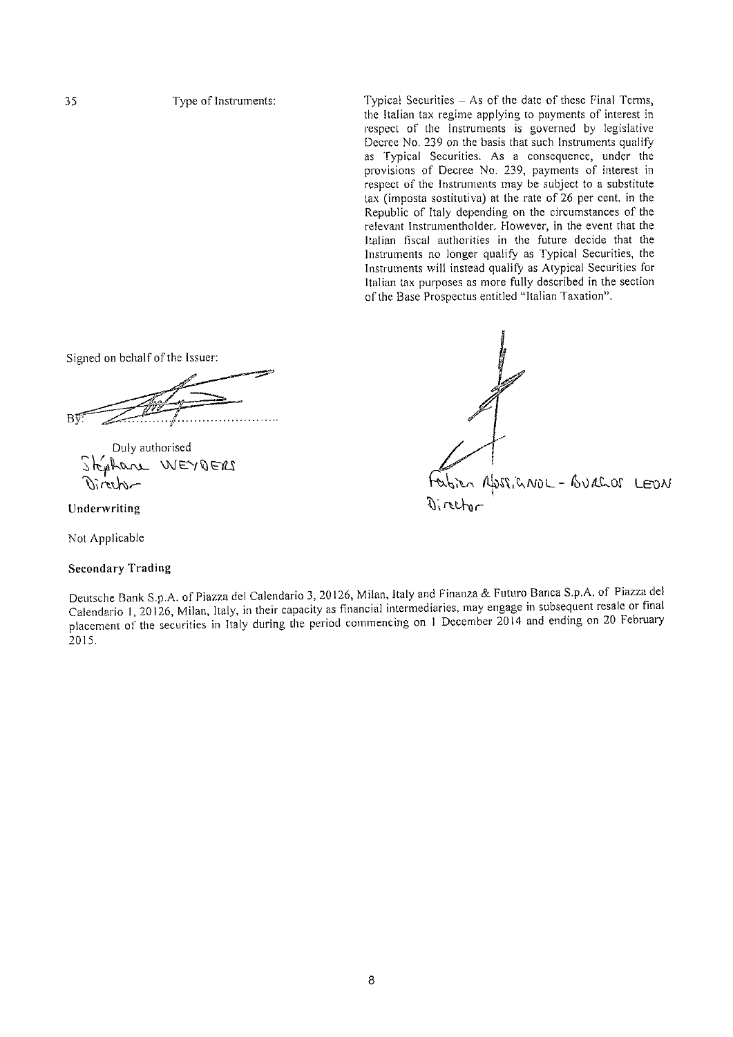Typical Securities - As of the date of these Final Terms, the Italian tax regime applying to payments of interest in respect of the Instruments is governed by legislative Decree No. 239 on the basis that such Instruments qualify as Typical Securities. As a consequence, under the provisions of Decree No. 239, payments of interest in respect of the Instruments may be subject to a substitute tax (imposta sostitutiva) at the rate of 26 per cent, in the Republic of Italy depending on the circumstances of the relevant Instrumentholder. However, in the event that the Italian fiscal authorities in the future decide that the Instruments no longer qualify as Typical Securities, the Instruments will instead qualify as Atypical Securities for Italian tax purposes as more fully described in the section of the Base Prospectus entitled "Italian Taxation".

Signed on behalf of the Issuer:

Duly authorised Stephan WEYDERS

Underwriting

Not Applicable

**Secondary Trading** 

Deutsche Bank S.p.A. of Piazza del Calendario 3, 20126, Milan, Italy and Finanza & Futuro Banca S.p.A. of Piazza del Calendario 1, 20126, Milan, Italy, in their capacity as financial intermediaries, may engage in subsequent resale or final placement of the securities in Italy during the period commencing on 1 December 2014 and ending on 20 February 2015.

Nen Absencement - BURGOS LEON Director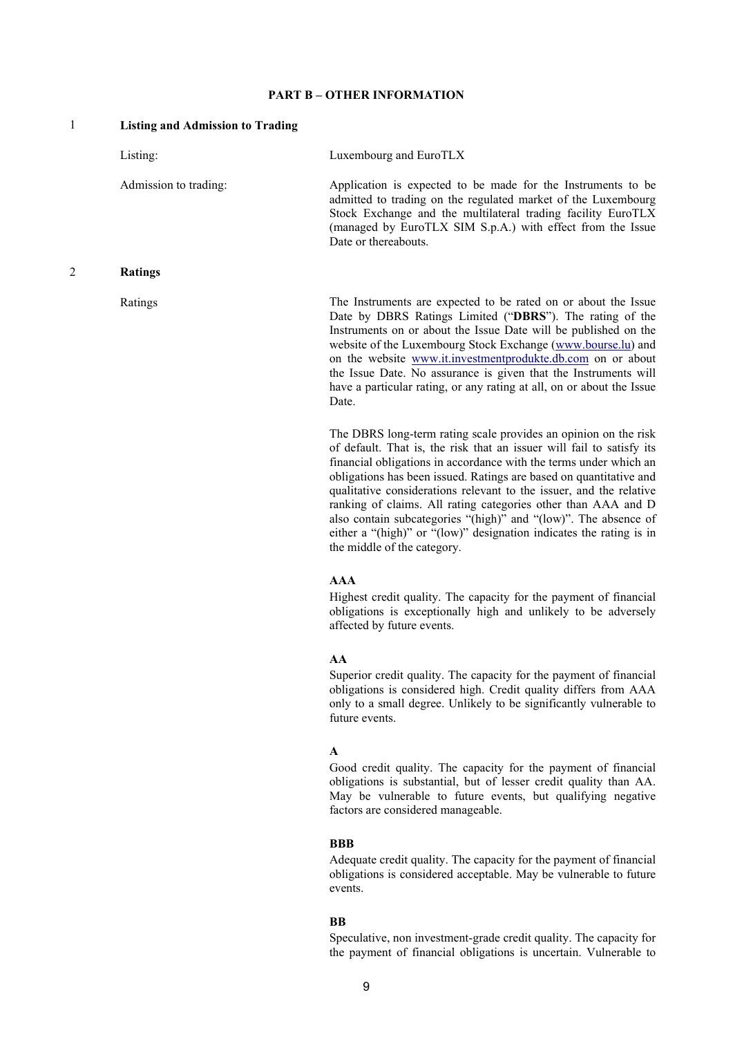### **PART B – OTHER INFORMATION**

| 1 | <b>Listing and Admission to Trading</b> |                                                                                                                                                                                                                                                                                                                                                                                                                                                                                                                                                                                                      |
|---|-----------------------------------------|------------------------------------------------------------------------------------------------------------------------------------------------------------------------------------------------------------------------------------------------------------------------------------------------------------------------------------------------------------------------------------------------------------------------------------------------------------------------------------------------------------------------------------------------------------------------------------------------------|
|   | Listing:                                | Luxembourg and EuroTLX                                                                                                                                                                                                                                                                                                                                                                                                                                                                                                                                                                               |
|   | Admission to trading:                   | Application is expected to be made for the Instruments to be<br>admitted to trading on the regulated market of the Luxembourg<br>Stock Exchange and the multilateral trading facility EuroTLX<br>(managed by EuroTLX SIM S.p.A.) with effect from the Issue<br>Date or thereabouts.                                                                                                                                                                                                                                                                                                                  |
| 2 | <b>Ratings</b>                          |                                                                                                                                                                                                                                                                                                                                                                                                                                                                                                                                                                                                      |
|   | Ratings                                 | The Instruments are expected to be rated on or about the Issue<br>Date by DBRS Ratings Limited ("DBRS"). The rating of the<br>Instruments on or about the Issue Date will be published on the<br>website of the Luxembourg Stock Exchange (www.bourse.lu) and<br>on the website www.it.investmentprodukte.db.com on or about<br>the Issue Date. No assurance is given that the Instruments will<br>have a particular rating, or any rating at all, on or about the Issue<br>Date.                                                                                                                    |
|   |                                         | The DBRS long-term rating scale provides an opinion on the risk<br>of default. That is, the risk that an issuer will fail to satisfy its<br>financial obligations in accordance with the terms under which an<br>obligations has been issued. Ratings are based on quantitative and<br>qualitative considerations relevant to the issuer, and the relative<br>ranking of claims. All rating categories other than AAA and D<br>also contain subcategories "(high)" and "(low)". The absence of<br>either a "(high)" or "(low)" designation indicates the rating is in<br>the middle of the category. |
|   |                                         | <b>AAA</b><br>Highest credit quality. The capacity for the payment of financial<br>obligations is exceptionally high and unlikely to be adversely<br>affected by future events.                                                                                                                                                                                                                                                                                                                                                                                                                      |
|   |                                         | AA<br>Superior credit quality. The capacity for the payment of financial<br>obligations is considered high. Credit quality differs from AAA<br>only to a small degree. Unlikely to be significantly vulnerable to<br>future events.                                                                                                                                                                                                                                                                                                                                                                  |
|   |                                         | A<br>Good credit quality. The capacity for the payment of financial<br>obligations is substantial, but of lesser credit quality than AA.<br>May be vulnerable to future events, but qualifying negative<br>factors are considered manageable.                                                                                                                                                                                                                                                                                                                                                        |

# **BBB**

Adequate credit quality. The capacity for the payment of financial obligations is considered acceptable. May be vulnerable to future events.

### **BB**

Speculative, non investment-grade credit quality. The capacity for the payment of financial obligations is uncertain. Vulnerable to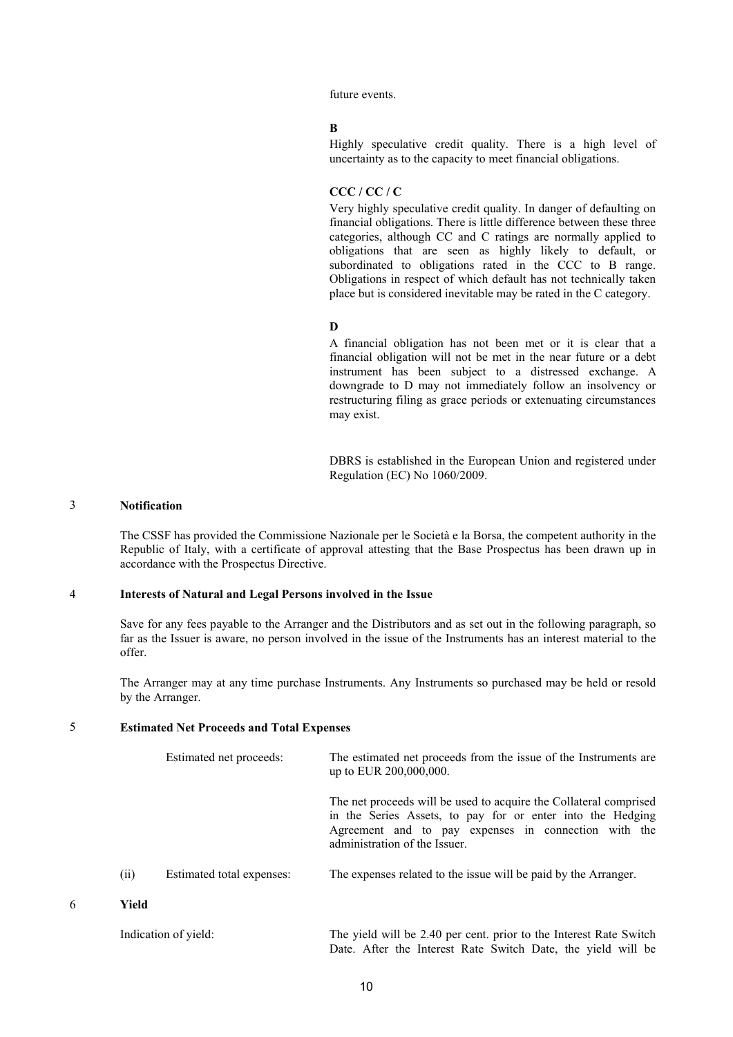future events.

#### **B**

Highly speculative credit quality. There is a high level of uncertainty as to the capacity to meet financial obligations.

### **CCC / CC / C**

Very highly speculative credit quality. In danger of defaulting on financial obligations. There is little difference between these three categories, although CC and C ratings are normally applied to obligations that are seen as highly likely to default, or subordinated to obligations rated in the CCC to B range. Obligations in respect of which default has not technically taken place but is considered inevitable may be rated in the C category.

### **D**

A financial obligation has not been met or it is clear that a financial obligation will not be met in the near future or a debt instrument has been subject to a distressed exchange. A downgrade to D may not immediately follow an insolvency or restructuring filing as grace periods or extenuating circumstances may exist.

DBRS is established in the European Union and registered under Regulation (EC) No 1060/2009.

### 3 **Notification**

The CSSF has provided the Commissione Nazionale per le Società e la Borsa, the competent authority in the Republic of Italy, with a certificate of approval attesting that the Base Prospectus has been drawn up in accordance with the Prospectus Directive.

### 4 **Interests of Natural and Legal Persons involved in the Issue**

Save for any fees payable to the Arranger and the Distributors and as set out in the following paragraph, so far as the Issuer is aware, no person involved in the issue of the Instruments has an interest material to the offer.

The Arranger may at any time purchase Instruments. Any Instruments so purchased may be held or resold by the Arranger.

### 5 **Estimated Net Proceeds and Total Expenses**

|   |       | Estimated net proceeds:   | The estimated net proceeds from the issue of the Instruments are<br>up to EUR 200,000,000.                                                                                                                               |
|---|-------|---------------------------|--------------------------------------------------------------------------------------------------------------------------------------------------------------------------------------------------------------------------|
|   |       |                           | The net proceeds will be used to acquire the Collateral comprised<br>in the Series Assets, to pay for or enter into the Hedging<br>Agreement and to pay expenses in connection with the<br>administration of the Issuer. |
|   | (ii)  | Estimated total expenses: | The expenses related to the issue will be paid by the Arranger.                                                                                                                                                          |
| 6 | Yield |                           |                                                                                                                                                                                                                          |
|   |       | Indication of yield:      | The yield will be 2.40 per cent. prior to the Interest Rate Switch<br>Date. After the Interest Rate Switch Date, the yield will be                                                                                       |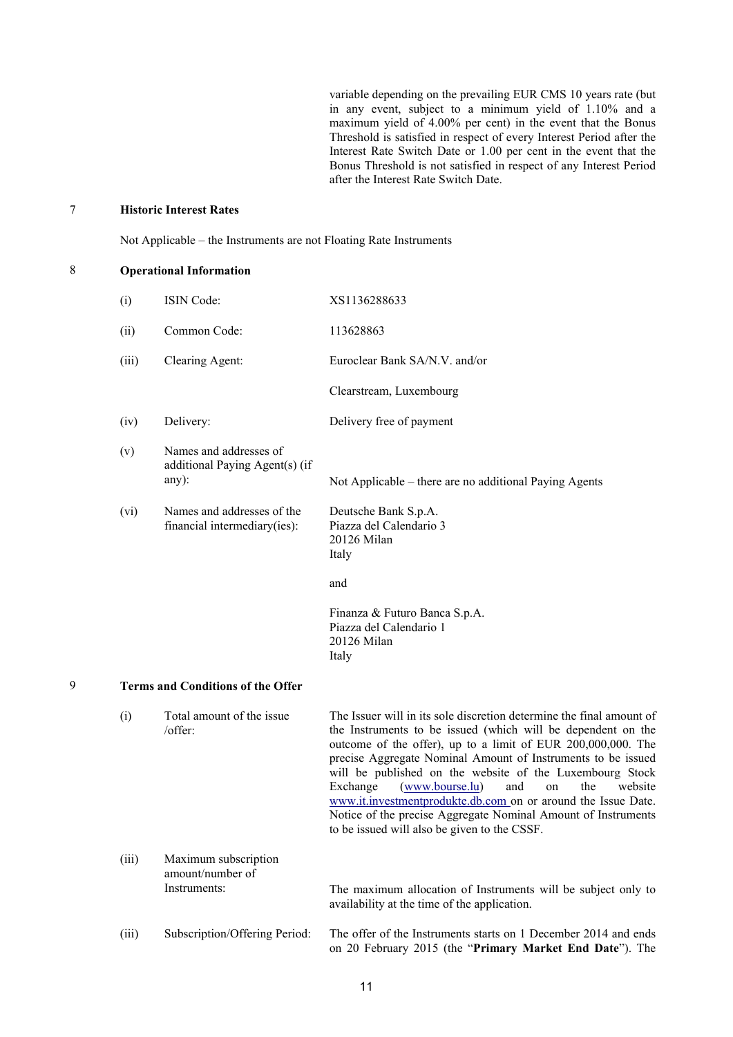variable depending on the prevailing EUR CMS 10 years rate (but in any event, subject to a minimum yield of 1.10% and a maximum yield of 4.00% per cent) in the event that the Bonus Threshold is satisfied in respect of every Interest Period after the Interest Rate Switch Date or 1.00 per cent in the event that the Bonus Threshold is not satisfied in respect of any Interest Period after the Interest Rate Switch Date.

### 7 **Historic Interest Rates**

Not Applicable – the Instruments are not Floating Rate Instruments

| 8 |       | <b>Operational Information</b>                                    |                                                                                                                                                                                                                                                                                                                                                                                                                                                                                                                                                                                             |  |  |  |
|---|-------|-------------------------------------------------------------------|---------------------------------------------------------------------------------------------------------------------------------------------------------------------------------------------------------------------------------------------------------------------------------------------------------------------------------------------------------------------------------------------------------------------------------------------------------------------------------------------------------------------------------------------------------------------------------------------|--|--|--|
|   | (i)   | ISIN Code:                                                        | XS1136288633                                                                                                                                                                                                                                                                                                                                                                                                                                                                                                                                                                                |  |  |  |
|   | (ii)  | Common Code:                                                      | 113628863                                                                                                                                                                                                                                                                                                                                                                                                                                                                                                                                                                                   |  |  |  |
|   | (iii) | Clearing Agent:                                                   | Euroclear Bank SA/N.V. and/or                                                                                                                                                                                                                                                                                                                                                                                                                                                                                                                                                               |  |  |  |
|   |       |                                                                   | Clearstream, Luxembourg                                                                                                                                                                                                                                                                                                                                                                                                                                                                                                                                                                     |  |  |  |
|   | (iv)  | Delivery:                                                         | Delivery free of payment                                                                                                                                                                                                                                                                                                                                                                                                                                                                                                                                                                    |  |  |  |
|   | (v)   | Names and addresses of<br>additional Paying Agent(s) (if<br>any): | Not Applicable – there are no additional Paying Agents                                                                                                                                                                                                                                                                                                                                                                                                                                                                                                                                      |  |  |  |
|   | (vi)  | Names and addresses of the<br>financial intermediary(ies):        | Deutsche Bank S.p.A.<br>Piazza del Calendario 3<br>20126 Milan<br>Italy                                                                                                                                                                                                                                                                                                                                                                                                                                                                                                                     |  |  |  |
|   |       |                                                                   | and                                                                                                                                                                                                                                                                                                                                                                                                                                                                                                                                                                                         |  |  |  |
|   |       |                                                                   | Finanza & Futuro Banca S.p.A.<br>Piazza del Calendario 1<br>20126 Milan<br>Italy                                                                                                                                                                                                                                                                                                                                                                                                                                                                                                            |  |  |  |
| 9 |       | <b>Terms and Conditions of the Offer</b>                          |                                                                                                                                                                                                                                                                                                                                                                                                                                                                                                                                                                                             |  |  |  |
|   | (i)   | Total amount of the issue<br>/offer:                              | The Issuer will in its sole discretion determine the final amount of<br>the Instruments to be issued (which will be dependent on the<br>outcome of the offer), up to a limit of EUR 200,000,000. The<br>precise Aggregate Nominal Amount of Instruments to be issued<br>will be published on the website of the Luxembourg Stock<br>Exchange<br>(www.bourse.lu)<br>and<br><sub>on</sub><br>the<br>website<br>www.it.investmentprodukte.db.com on or around the Issue Date.<br>Notice of the precise Aggregate Nominal Amount of Instruments<br>to be issued will also be given to the CSSF. |  |  |  |
|   | (iii) | Maximum subscription<br>amount/number of                          |                                                                                                                                                                                                                                                                                                                                                                                                                                                                                                                                                                                             |  |  |  |

(iii) Subscription/Offering Period: The offer of the Instruments starts on 1 December 2014 and ends on 20 February 2015 (the "**Primary Market End Date**"). The

Instruments: The maximum allocation of Instruments will be subject only to

availability at the time of the application.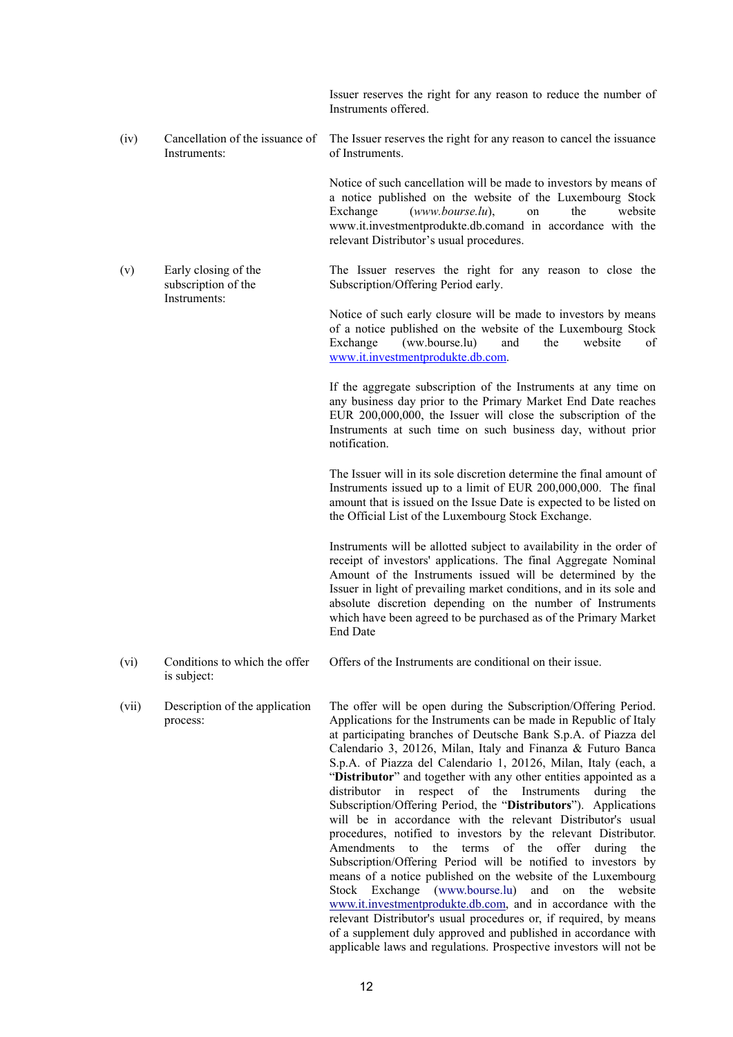|       |                                                             | Issuer reserves the right for any reason to reduce the number of<br>Instruments offered.                                                                                                                                                                                                                                                                                                                                                                                                                                                                                                                                                                                                                                                                                                                                                                                                                                                                                                                                                                                                                                                |
|-------|-------------------------------------------------------------|-----------------------------------------------------------------------------------------------------------------------------------------------------------------------------------------------------------------------------------------------------------------------------------------------------------------------------------------------------------------------------------------------------------------------------------------------------------------------------------------------------------------------------------------------------------------------------------------------------------------------------------------------------------------------------------------------------------------------------------------------------------------------------------------------------------------------------------------------------------------------------------------------------------------------------------------------------------------------------------------------------------------------------------------------------------------------------------------------------------------------------------------|
| (iv)  | Cancellation of the issuance of<br>Instruments:             | The Issuer reserves the right for any reason to cancel the issuance<br>of Instruments.                                                                                                                                                                                                                                                                                                                                                                                                                                                                                                                                                                                                                                                                                                                                                                                                                                                                                                                                                                                                                                                  |
|       |                                                             | Notice of such cancellation will be made to investors by means of<br>a notice published on the website of the Luxembourg Stock<br>$(www.bourse.lu)$ ,<br>Exchange<br>the<br>website<br>on<br>www.it.investmentprodukte.db.comand in accordance with the<br>relevant Distributor's usual procedures.                                                                                                                                                                                                                                                                                                                                                                                                                                                                                                                                                                                                                                                                                                                                                                                                                                     |
| (v)   | Early closing of the<br>subscription of the<br>Instruments: | The Issuer reserves the right for any reason to close the<br>Subscription/Offering Period early.                                                                                                                                                                                                                                                                                                                                                                                                                                                                                                                                                                                                                                                                                                                                                                                                                                                                                                                                                                                                                                        |
|       |                                                             | Notice of such early closure will be made to investors by means<br>of a notice published on the website of the Luxembourg Stock<br>Exchange<br>(ww.bourse.lu)<br>and<br>the<br>website<br>of<br>www.it.investmentprodukte.db.com.                                                                                                                                                                                                                                                                                                                                                                                                                                                                                                                                                                                                                                                                                                                                                                                                                                                                                                       |
|       |                                                             | If the aggregate subscription of the Instruments at any time on<br>any business day prior to the Primary Market End Date reaches<br>EUR 200,000,000, the Issuer will close the subscription of the<br>Instruments at such time on such business day, without prior<br>notification.                                                                                                                                                                                                                                                                                                                                                                                                                                                                                                                                                                                                                                                                                                                                                                                                                                                     |
|       |                                                             | The Issuer will in its sole discretion determine the final amount of<br>Instruments issued up to a limit of EUR 200,000,000. The final<br>amount that is issued on the Issue Date is expected to be listed on<br>the Official List of the Luxembourg Stock Exchange.                                                                                                                                                                                                                                                                                                                                                                                                                                                                                                                                                                                                                                                                                                                                                                                                                                                                    |
|       |                                                             | Instruments will be allotted subject to availability in the order of<br>receipt of investors' applications. The final Aggregate Nominal<br>Amount of the Instruments issued will be determined by the<br>Issuer in light of prevailing market conditions, and in its sole and<br>absolute discretion depending on the number of Instruments<br>which have been agreed to be purchased as of the Primary Market<br>End Date                                                                                                                                                                                                                                                                                                                                                                                                                                                                                                                                                                                                                                                                                                              |
| (vi)  | Conditions to which the offer<br>is subject:                | Offers of the Instruments are conditional on their issue.                                                                                                                                                                                                                                                                                                                                                                                                                                                                                                                                                                                                                                                                                                                                                                                                                                                                                                                                                                                                                                                                               |
| (vii) | Description of the application<br>process:                  | The offer will be open during the Subscription/Offering Period.<br>Applications for the Instruments can be made in Republic of Italy<br>at participating branches of Deutsche Bank S.p.A. of Piazza del<br>Calendario 3, 20126, Milan, Italy and Finanza & Futuro Banca<br>S.p.A. of Piazza del Calendario 1, 20126, Milan, Italy (each, a<br>"Distributor" and together with any other entities appointed as a<br>distributor in respect of the Instruments<br>during<br>the<br>Subscription/Offering Period, the "Distributors"). Applications<br>will be in accordance with the relevant Distributor's usual<br>procedures, notified to investors by the relevant Distributor.<br>Amendments to the terms of the offer during the<br>Subscription/Offering Period will be notified to investors by<br>means of a notice published on the website of the Luxembourg<br>Stock Exchange (www.bourse.lu) and<br>on the<br>website<br>www.it.investmentprodukte.db.com, and in accordance with the<br>relevant Distributor's usual procedures or, if required, by means<br>of a supplement duly approved and published in accordance with |

applicable laws and regulations. Prospective investors will not be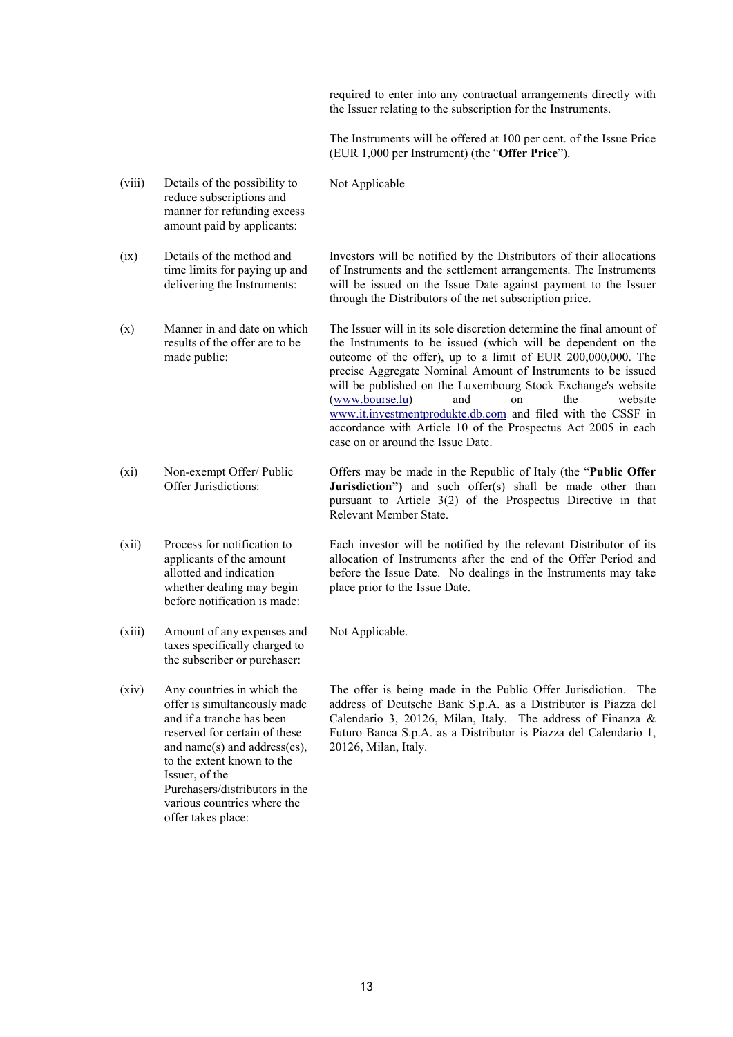required to enter into any contractual arrangements directly with the Issuer relating to the subscription for the Instruments.

The Instruments will be offered at 100 per cent. of the Issue Price (EUR 1,000 per Instrument) (the "**Offer Price**").

- (viii) Details of the possibility to reduce subscriptions and manner for refunding excess amount paid by applicants:
- (ix) Details of the method and time limits for paying up and delivering the Instruments:
- (x) Manner in and date on which results of the offer are to be made public:
- (xi) Non-exempt Offer/ Public Offer Jurisdictions:
- (xii) Process for notification to applicants of the amount allotted and indication whether dealing may begin before notification is made:
- (xiii) Amount of any expenses and taxes specifically charged to the subscriber or purchaser:
- (xiv) Any countries in which the offer is simultaneously made and if a tranche has been reserved for certain of these and name(s) and address(es), to the extent known to the Issuer, of the Purchasers/distributors in the various countries where the offer takes place:

Not Applicable

Investors will be notified by the Distributors of their allocations of Instruments and the settlement arrangements. The Instruments will be issued on the Issue Date against payment to the Issuer through the Distributors of the net subscription price.

The Issuer will in its sole discretion determine the final amount of the Instruments to be issued (which will be dependent on the outcome of the offer), up to a limit of EUR 200,000,000. The precise Aggregate Nominal Amount of Instruments to be issued will be published on the Luxembourg Stock Exchange's website (www.bourse.lu) and on the website www.it.investmentprodukte.db.com and filed with the CSSF in accordance with Article 10 of the Prospectus Act 2005 in each case on or around the Issue Date.

Offers may be made in the Republic of Italy (the "**Public Offer Jurisdiction"**) and such offer(s) shall be made other than pursuant to Article 3(2) of the Prospectus Directive in that Relevant Member State.

Each investor will be notified by the relevant Distributor of its allocation of Instruments after the end of the Offer Period and before the Issue Date. No dealings in the Instruments may take place prior to the Issue Date.

Not Applicable.

The offer is being made in the Public Offer Jurisdiction. The address of Deutsche Bank S.p.A. as a Distributor is Piazza del Calendario 3, 20126, Milan, Italy. The address of Finanza & Futuro Banca S.p.A. as a Distributor is Piazza del Calendario 1, 20126, Milan, Italy.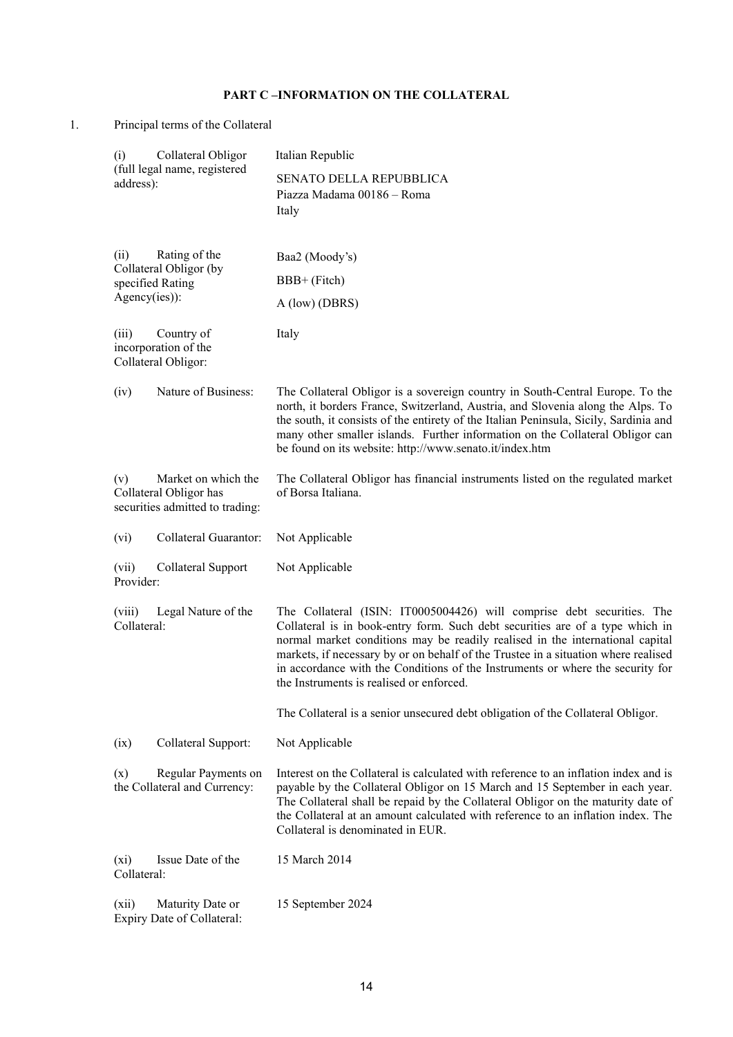# **PART C –INFORMATION ON THE COLLATERAL**

1. Principal terms of the Collateral

| Collateral Obligor<br>(i)                                                               | Italian Republic                                                                                                                                                                                                                                                                                                                                                                                                                                             |
|-----------------------------------------------------------------------------------------|--------------------------------------------------------------------------------------------------------------------------------------------------------------------------------------------------------------------------------------------------------------------------------------------------------------------------------------------------------------------------------------------------------------------------------------------------------------|
| (full legal name, registered<br>address):                                               | <b>SENATO DELLA REPUBBLICA</b><br>Piazza Madama 00186 - Roma<br>Italy                                                                                                                                                                                                                                                                                                                                                                                        |
| Rating of the<br>(ii)<br>Collateral Obligor (by                                         | Baa2 (Moody's)                                                                                                                                                                                                                                                                                                                                                                                                                                               |
| specified Rating                                                                        | BBB+ (Fitch)                                                                                                                                                                                                                                                                                                                                                                                                                                                 |
| Agency(ies)):                                                                           | A (low) (DBRS)                                                                                                                                                                                                                                                                                                                                                                                                                                               |
| (iii)<br>Country of<br>incorporation of the<br>Collateral Obligor:                      | Italy                                                                                                                                                                                                                                                                                                                                                                                                                                                        |
| Nature of Business:<br>(iv)                                                             | The Collateral Obligor is a sovereign country in South-Central Europe. To the<br>north, it borders France, Switzerland, Austria, and Slovenia along the Alps. To<br>the south, it consists of the entirety of the Italian Peninsula, Sicily, Sardinia and<br>many other smaller islands. Further information on the Collateral Obligor can<br>be found on its website: http://www.senato.it/index.htm                                                        |
| Market on which the<br>(v)<br>Collateral Obligor has<br>securities admitted to trading: | The Collateral Obligor has financial instruments listed on the regulated market<br>of Borsa Italiana.                                                                                                                                                                                                                                                                                                                                                        |
| Collateral Guarantor:<br>(vi)                                                           | Not Applicable                                                                                                                                                                                                                                                                                                                                                                                                                                               |
| (vii)<br>Collateral Support<br>Provider:                                                | Not Applicable                                                                                                                                                                                                                                                                                                                                                                                                                                               |
| (viii)<br>Legal Nature of the<br>Collateral:                                            | The Collateral (ISIN: IT0005004426) will comprise debt securities. The<br>Collateral is in book-entry form. Such debt securities are of a type which in<br>normal market conditions may be readily realised in the international capital<br>markets, if necessary by or on behalf of the Trustee in a situation where realised<br>in accordance with the Conditions of the Instruments or where the security for<br>the Instruments is realised or enforced. |
|                                                                                         | The Collateral is a senior unsecured debt obligation of the Collateral Obligor.                                                                                                                                                                                                                                                                                                                                                                              |
| Collateral Support:<br>(ix)                                                             | Not Applicable                                                                                                                                                                                                                                                                                                                                                                                                                                               |
| Regular Payments on<br>(x)<br>the Collateral and Currency:                              | Interest on the Collateral is calculated with reference to an inflation index and is<br>payable by the Collateral Obligor on 15 March and 15 September in each year.<br>The Collateral shall be repaid by the Collateral Obligor on the maturity date of<br>the Collateral at an amount calculated with reference to an inflation index. The<br>Collateral is denominated in EUR.                                                                            |
| Issue Date of the<br>(xi)<br>Collateral:                                                | 15 March 2014                                                                                                                                                                                                                                                                                                                                                                                                                                                |
| (xii)<br>Maturity Date or<br>Expiry Date of Collateral:                                 | 15 September 2024                                                                                                                                                                                                                                                                                                                                                                                                                                            |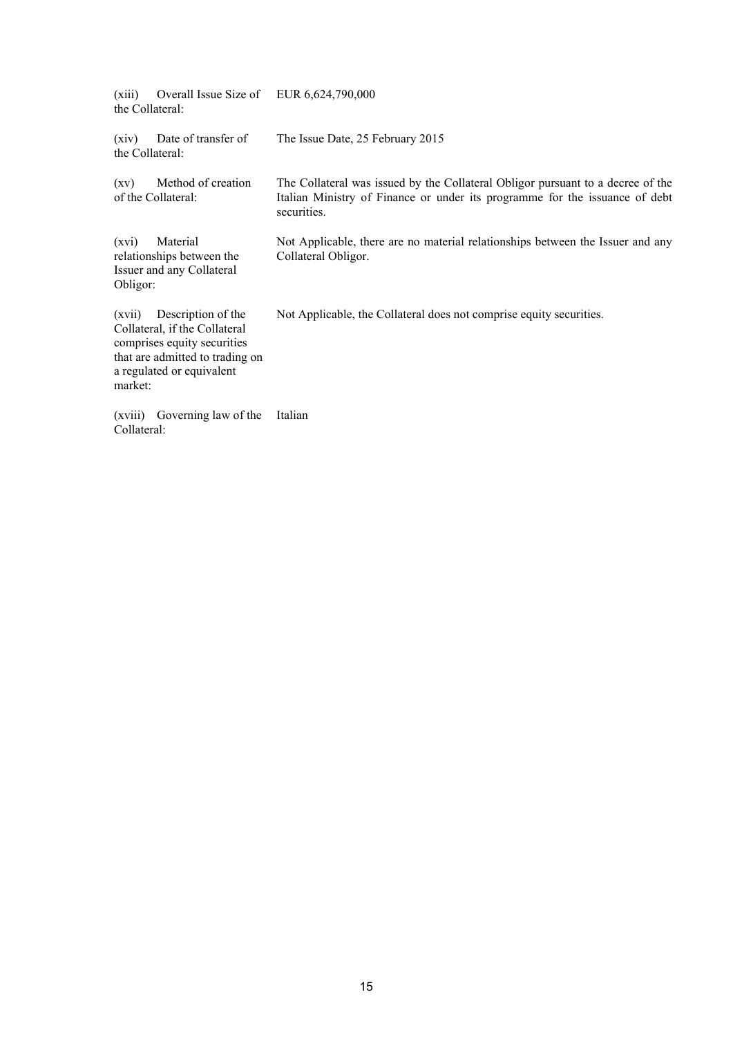| (xiii)<br>the Collateral: | Overall Issue Size of                                                                                                                              | EUR 6,624,790,000                                                                                                                                                             |
|---------------------------|----------------------------------------------------------------------------------------------------------------------------------------------------|-------------------------------------------------------------------------------------------------------------------------------------------------------------------------------|
| (xiv)<br>the Collateral:  | Date of transfer of                                                                                                                                | The Issue Date, 25 February 2015                                                                                                                                              |
| (xy)                      | Method of creation<br>of the Collateral:                                                                                                           | The Collateral was issued by the Collateral Obligor pursuant to a decree of the<br>Italian Ministry of Finance or under its programme for the issuance of debt<br>securities. |
| (xvi)<br>Obligor:         | Material<br>relationships between the<br>Issuer and any Collateral                                                                                 | Not Applicable, there are no material relationships between the Issuer and any<br>Collateral Obligor.                                                                         |
| (xvii)<br>market:         | Description of the<br>Collateral, if the Collateral<br>comprises equity securities<br>that are admitted to trading on<br>a regulated or equivalent | Not Applicable, the Collateral does not comprise equity securities.                                                                                                           |
| (xviii)<br>Collateral:    | Governing law of the                                                                                                                               | Italian                                                                                                                                                                       |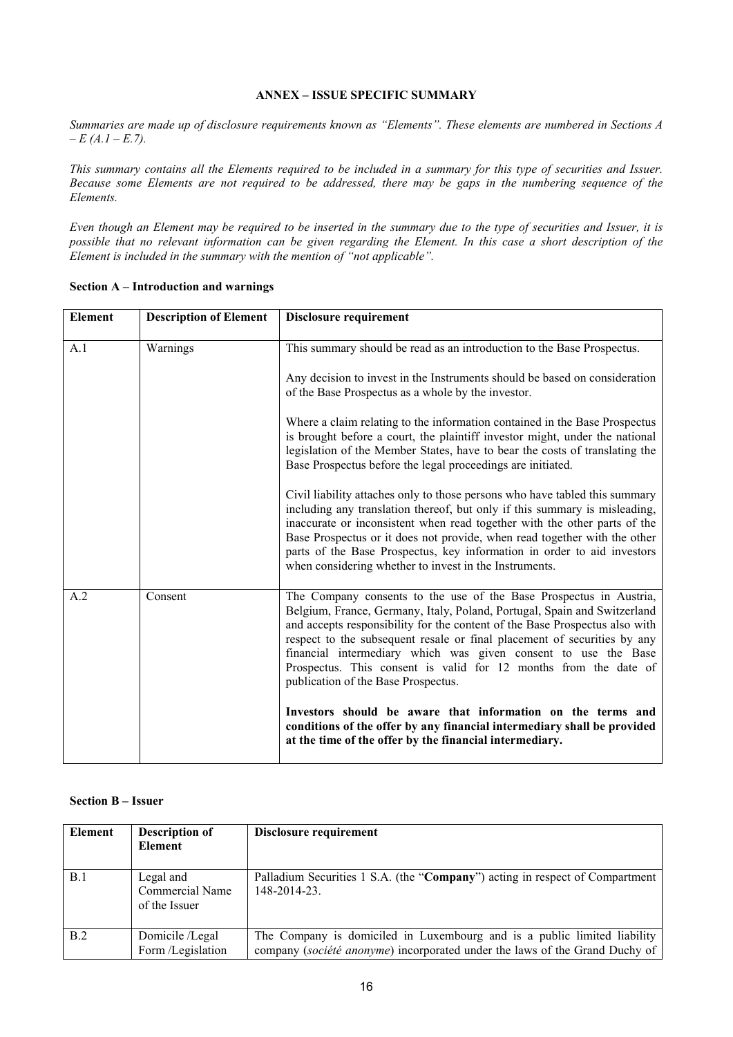### **ANNEX – ISSUE SPECIFIC SUMMARY**

*Summaries are made up of disclosure requirements known as "Elements". These elements are numbered in Sections A – E (A.1 – E.7).*

*This summary contains all the Elements required to be included in a summary for this type of securities and Issuer. Because some Elements are not required to be addressed, there may be gaps in the numbering sequence of the Elements.*

*Even though an Element may be required to be inserted in the summary due to the type of securities and Issuer, it is possible that no relevant information can be given regarding the Element. In this case a short description of the Element is included in the summary with the mention of "not applicable".*

| <b>Element</b> | <b>Description of Element</b> | Disclosure requirement                                                                                                                                                                                                                                                                                                                                                                                                                                                                                                                                                                                                                                                                                                                                                                                                                                                                                                                                                            |
|----------------|-------------------------------|-----------------------------------------------------------------------------------------------------------------------------------------------------------------------------------------------------------------------------------------------------------------------------------------------------------------------------------------------------------------------------------------------------------------------------------------------------------------------------------------------------------------------------------------------------------------------------------------------------------------------------------------------------------------------------------------------------------------------------------------------------------------------------------------------------------------------------------------------------------------------------------------------------------------------------------------------------------------------------------|
| A.1            | Warnings                      | This summary should be read as an introduction to the Base Prospectus.<br>Any decision to invest in the Instruments should be based on consideration<br>of the Base Prospectus as a whole by the investor.<br>Where a claim relating to the information contained in the Base Prospectus<br>is brought before a court, the plaintiff investor might, under the national<br>legislation of the Member States, have to bear the costs of translating the<br>Base Prospectus before the legal proceedings are initiated.<br>Civil liability attaches only to those persons who have tabled this summary<br>including any translation thereof, but only if this summary is misleading,<br>inaccurate or inconsistent when read together with the other parts of the<br>Base Prospectus or it does not provide, when read together with the other<br>parts of the Base Prospectus, key information in order to aid investors<br>when considering whether to invest in the Instruments. |
| A.2            | Consent                       | The Company consents to the use of the Base Prospectus in Austria,<br>Belgium, France, Germany, Italy, Poland, Portugal, Spain and Switzerland<br>and accepts responsibility for the content of the Base Prospectus also with<br>respect to the subsequent resale or final placement of securities by any<br>financial intermediary which was given consent to use the Base<br>Prospectus. This consent is valid for 12 months from the date of<br>publication of the Base Prospectus.<br>Investors should be aware that information on the terms and<br>conditions of the offer by any financial intermediary shall be provided<br>at the time of the offer by the financial intermediary.                                                                                                                                                                                                                                                                                       |

### **Section A – Introduction and warnings**

# **Section B – Issuer**

| <b>Element</b> | <b>Description of</b><br>Element                     | Disclosure requirement                                                                                                                                  |
|----------------|------------------------------------------------------|---------------------------------------------------------------------------------------------------------------------------------------------------------|
| B.1            | Legal and<br><b>Commercial Name</b><br>of the Issuer | Palladium Securities 1 S.A. (the "Company") acting in respect of Compartment<br>148-2014-23                                                             |
| B.2            | Domicile /Legal<br>Form /Legislation                 | The Company is domiciled in Luxembourg and is a public limited liability<br>company (société anonyme) incorporated under the laws of the Grand Duchy of |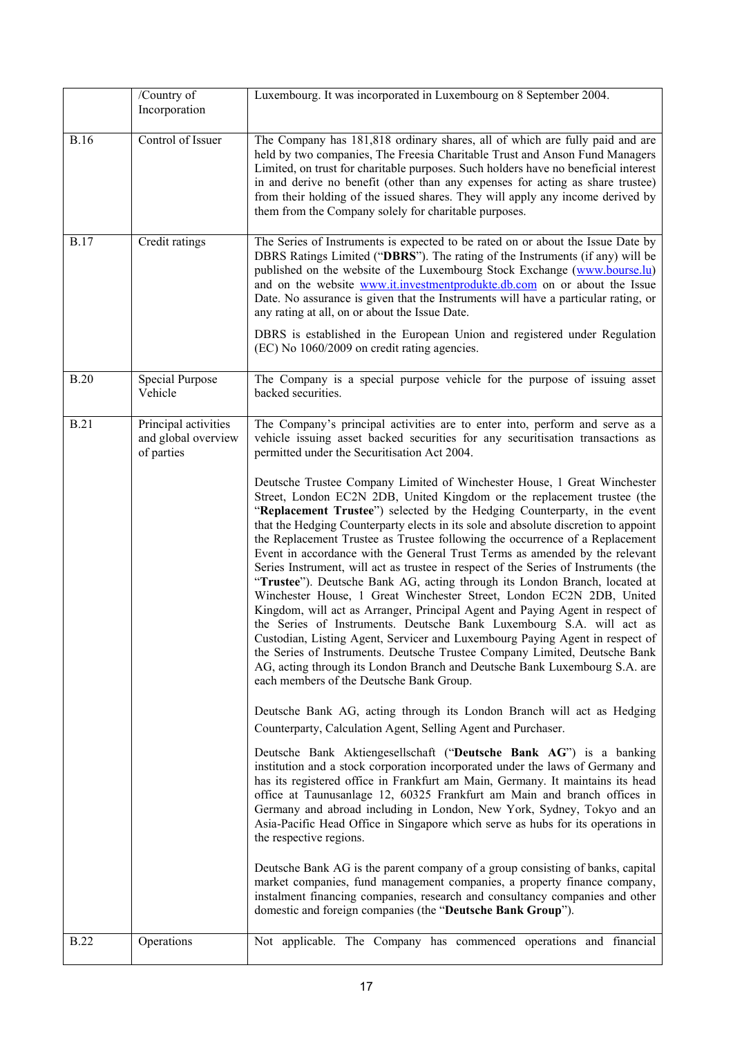|             | /Country of                                               | Luxembourg. It was incorporated in Luxembourg on 8 September 2004.                                                                                                                                                                                                                                                                                                                                                                                                                                                                                                                                                                                                                                                                                                                                                                                                                                                                                                                                                                                                                                                                                                                                                                                                                                                                                                                                                                                                                                                                                                                                                                                                                                                                                                                                                                                                                                                                                                                                                                                                                                                                                                                                                                                                                                                                                                           |
|-------------|-----------------------------------------------------------|------------------------------------------------------------------------------------------------------------------------------------------------------------------------------------------------------------------------------------------------------------------------------------------------------------------------------------------------------------------------------------------------------------------------------------------------------------------------------------------------------------------------------------------------------------------------------------------------------------------------------------------------------------------------------------------------------------------------------------------------------------------------------------------------------------------------------------------------------------------------------------------------------------------------------------------------------------------------------------------------------------------------------------------------------------------------------------------------------------------------------------------------------------------------------------------------------------------------------------------------------------------------------------------------------------------------------------------------------------------------------------------------------------------------------------------------------------------------------------------------------------------------------------------------------------------------------------------------------------------------------------------------------------------------------------------------------------------------------------------------------------------------------------------------------------------------------------------------------------------------------------------------------------------------------------------------------------------------------------------------------------------------------------------------------------------------------------------------------------------------------------------------------------------------------------------------------------------------------------------------------------------------------------------------------------------------------------------------------------------------------|
|             | Incorporation                                             |                                                                                                                                                                                                                                                                                                                                                                                                                                                                                                                                                                                                                                                                                                                                                                                                                                                                                                                                                                                                                                                                                                                                                                                                                                                                                                                                                                                                                                                                                                                                                                                                                                                                                                                                                                                                                                                                                                                                                                                                                                                                                                                                                                                                                                                                                                                                                                              |
| <b>B.16</b> | Control of Issuer                                         | The Company has 181,818 ordinary shares, all of which are fully paid and are<br>held by two companies, The Freesia Charitable Trust and Anson Fund Managers<br>Limited, on trust for charitable purposes. Such holders have no beneficial interest<br>in and derive no benefit (other than any expenses for acting as share trustee)<br>from their holding of the issued shares. They will apply any income derived by<br>them from the Company solely for charitable purposes.                                                                                                                                                                                                                                                                                                                                                                                                                                                                                                                                                                                                                                                                                                                                                                                                                                                                                                                                                                                                                                                                                                                                                                                                                                                                                                                                                                                                                                                                                                                                                                                                                                                                                                                                                                                                                                                                                              |
| <b>B.17</b> | Credit ratings                                            | The Series of Instruments is expected to be rated on or about the Issue Date by<br>DBRS Ratings Limited ("DBRS"). The rating of the Instruments (if any) will be<br>published on the website of the Luxembourg Stock Exchange (www.bourse.lu)<br>and on the website www.it.investmentprodukte.db.com on or about the Issue<br>Date. No assurance is given that the Instruments will have a particular rating, or<br>any rating at all, on or about the Issue Date.<br>DBRS is established in the European Union and registered under Regulation<br>(EC) No 1060/2009 on credit rating agencies.                                                                                                                                                                                                                                                                                                                                                                                                                                                                                                                                                                                                                                                                                                                                                                                                                                                                                                                                                                                                                                                                                                                                                                                                                                                                                                                                                                                                                                                                                                                                                                                                                                                                                                                                                                              |
| <b>B.20</b> | <b>Special Purpose</b><br>Vehicle                         | The Company is a special purpose vehicle for the purpose of issuing asset<br>backed securities.                                                                                                                                                                                                                                                                                                                                                                                                                                                                                                                                                                                                                                                                                                                                                                                                                                                                                                                                                                                                                                                                                                                                                                                                                                                                                                                                                                                                                                                                                                                                                                                                                                                                                                                                                                                                                                                                                                                                                                                                                                                                                                                                                                                                                                                                              |
| <b>B.21</b> | Principal activities<br>and global overview<br>of parties | The Company's principal activities are to enter into, perform and serve as a<br>vehicle issuing asset backed securities for any securitisation transactions as<br>permitted under the Securitisation Act 2004.<br>Deutsche Trustee Company Limited of Winchester House, 1 Great Winchester<br>Street, London EC2N 2DB, United Kingdom or the replacement trustee (the<br>"Replacement Trustee") selected by the Hedging Counterparty, in the event<br>that the Hedging Counterparty elects in its sole and absolute discretion to appoint<br>the Replacement Trustee as Trustee following the occurrence of a Replacement<br>Event in accordance with the General Trust Terms as amended by the relevant<br>Series Instrument, will act as trustee in respect of the Series of Instruments (the<br>"Trustee"). Deutsche Bank AG, acting through its London Branch, located at<br>Winchester House, 1 Great Winchester Street, London EC2N 2DB, United<br>Kingdom, will act as Arranger, Principal Agent and Paying Agent in respect of<br>the Series of Instruments. Deutsche Bank Luxembourg S.A. will act as<br>Custodian, Listing Agent, Servicer and Luxembourg Paying Agent in respect of<br>the Series of Instruments. Deutsche Trustee Company Limited, Deutsche Bank<br>AG, acting through its London Branch and Deutsche Bank Luxembourg S.A. are<br>each members of the Deutsche Bank Group.<br>Deutsche Bank AG, acting through its London Branch will act as Hedging<br>Counterparty, Calculation Agent, Selling Agent and Purchaser.<br>Deutsche Bank Aktiengesellschaft ("Deutsche Bank AG") is a banking<br>institution and a stock corporation incorporated under the laws of Germany and<br>has its registered office in Frankfurt am Main, Germany. It maintains its head<br>office at Taunusanlage 12, 60325 Frankfurt am Main and branch offices in<br>Germany and abroad including in London, New York, Sydney, Tokyo and an<br>Asia-Pacific Head Office in Singapore which serve as hubs for its operations in<br>the respective regions.<br>Deutsche Bank AG is the parent company of a group consisting of banks, capital<br>market companies, fund management companies, a property finance company,<br>instalment financing companies, research and consultancy companies and other<br>domestic and foreign companies (the "Deutsche Bank Group"). |
| <b>B.22</b> | Operations                                                | Not applicable. The Company has commenced operations and financial                                                                                                                                                                                                                                                                                                                                                                                                                                                                                                                                                                                                                                                                                                                                                                                                                                                                                                                                                                                                                                                                                                                                                                                                                                                                                                                                                                                                                                                                                                                                                                                                                                                                                                                                                                                                                                                                                                                                                                                                                                                                                                                                                                                                                                                                                                           |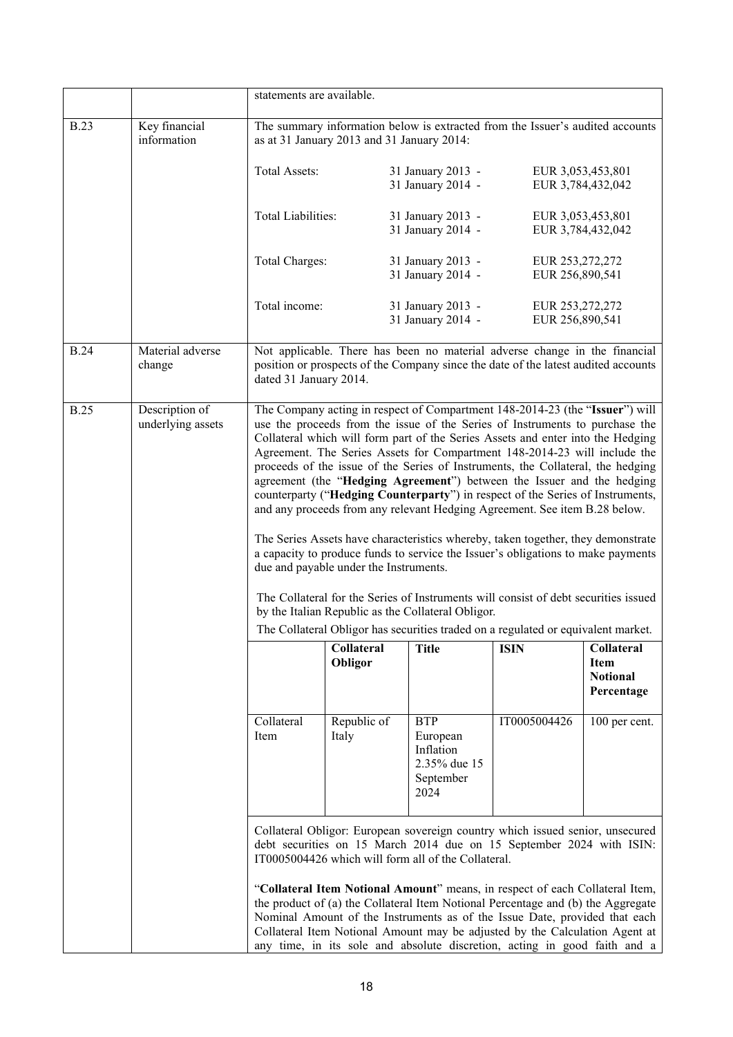|             |                                     | statements are available. |                                            |                                                                          |                                                                                                                                                                                                                                                                                                                                                                                                                                                                                                                                                                                                                                                                                                                                                                                                                                                                                                                          |                                                            |
|-------------|-------------------------------------|---------------------------|--------------------------------------------|--------------------------------------------------------------------------|--------------------------------------------------------------------------------------------------------------------------------------------------------------------------------------------------------------------------------------------------------------------------------------------------------------------------------------------------------------------------------------------------------------------------------------------------------------------------------------------------------------------------------------------------------------------------------------------------------------------------------------------------------------------------------------------------------------------------------------------------------------------------------------------------------------------------------------------------------------------------------------------------------------------------|------------------------------------------------------------|
| <b>B.23</b> | Key financial<br>information        |                           | as at 31 January 2013 and 31 January 2014: |                                                                          | The summary information below is extracted from the Issuer's audited accounts                                                                                                                                                                                                                                                                                                                                                                                                                                                                                                                                                                                                                                                                                                                                                                                                                                            |                                                            |
|             |                                     | Total Assets:             |                                            | 31 January 2013 -<br>31 January 2014 -                                   | EUR 3,053,453,801                                                                                                                                                                                                                                                                                                                                                                                                                                                                                                                                                                                                                                                                                                                                                                                                                                                                                                        | EUR 3,784,432,042                                          |
|             |                                     | <b>Total Liabilities:</b> |                                            | 31 January 2013 -<br>31 January 2014 -                                   | EUR 3,053,453,801                                                                                                                                                                                                                                                                                                                                                                                                                                                                                                                                                                                                                                                                                                                                                                                                                                                                                                        | EUR 3,784,432,042                                          |
|             |                                     | Total Charges:            |                                            | 31 January 2013 -<br>31 January 2014 -                                   | EUR 253,272,272<br>EUR 256,890,541                                                                                                                                                                                                                                                                                                                                                                                                                                                                                                                                                                                                                                                                                                                                                                                                                                                                                       |                                                            |
|             |                                     | Total income:             |                                            | 31 January 2013 -<br>31 January 2014 -                                   | EUR 253,272,272<br>EUR 256,890,541                                                                                                                                                                                                                                                                                                                                                                                                                                                                                                                                                                                                                                                                                                                                                                                                                                                                                       |                                                            |
| <b>B.24</b> | Material adverse<br>change          | dated 31 January 2014.    |                                            |                                                                          | Not applicable. There has been no material adverse change in the financial<br>position or prospects of the Company since the date of the latest audited accounts                                                                                                                                                                                                                                                                                                                                                                                                                                                                                                                                                                                                                                                                                                                                                         |                                                            |
| <b>B.25</b> | Description of<br>underlying assets |                           | due and payable under the Instruments.     | by the Italian Republic as the Collateral Obligor.                       | The Company acting in respect of Compartment 148-2014-23 (the "Issuer") will<br>use the proceeds from the issue of the Series of Instruments to purchase the<br>Collateral which will form part of the Series Assets and enter into the Hedging<br>Agreement. The Series Assets for Compartment 148-2014-23 will include the<br>proceeds of the issue of the Series of Instruments, the Collateral, the hedging<br>agreement (the "Hedging Agreement") between the Issuer and the hedging<br>counterparty ("Hedging Counterparty") in respect of the Series of Instruments,<br>and any proceeds from any relevant Hedging Agreement. See item B.28 below.<br>The Series Assets have characteristics whereby, taken together, they demonstrate<br>a capacity to produce funds to service the Issuer's obligations to make payments<br>The Collateral for the Series of Instruments will consist of debt securities issued |                                                            |
|             |                                     |                           |                                            |                                                                          | The Collateral Obligor has securities traded on a regulated or equivalent market.                                                                                                                                                                                                                                                                                                                                                                                                                                                                                                                                                                                                                                                                                                                                                                                                                                        |                                                            |
|             |                                     |                           | Collateral<br>Obligor                      | <b>Title</b>                                                             | <b>ISIN</b>                                                                                                                                                                                                                                                                                                                                                                                                                                                                                                                                                                                                                                                                                                                                                                                                                                                                                                              | Collateral<br><b>Item</b><br><b>Notional</b><br>Percentage |
|             |                                     | Collateral<br>Item        | Republic of<br>Italy                       | <b>BTP</b><br>European<br>Inflation<br>2.35% due 15<br>September<br>2024 | IT0005004426                                                                                                                                                                                                                                                                                                                                                                                                                                                                                                                                                                                                                                                                                                                                                                                                                                                                                                             | 100 per cent.                                              |
|             |                                     |                           |                                            | IT0005004426 which will form all of the Collateral.                      | Collateral Obligor: European sovereign country which issued senior, unsecured<br>debt securities on 15 March 2014 due on 15 September 2024 with ISIN:                                                                                                                                                                                                                                                                                                                                                                                                                                                                                                                                                                                                                                                                                                                                                                    |                                                            |
|             |                                     |                           |                                            |                                                                          | "Collateral Item Notional Amount" means, in respect of each Collateral Item,<br>the product of (a) the Collateral Item Notional Percentage and (b) the Aggregate<br>Nominal Amount of the Instruments as of the Issue Date, provided that each<br>Collateral Item Notional Amount may be adjusted by the Calculation Agent at<br>any time, in its sole and absolute discretion, acting in good faith and a                                                                                                                                                                                                                                                                                                                                                                                                                                                                                                               |                                                            |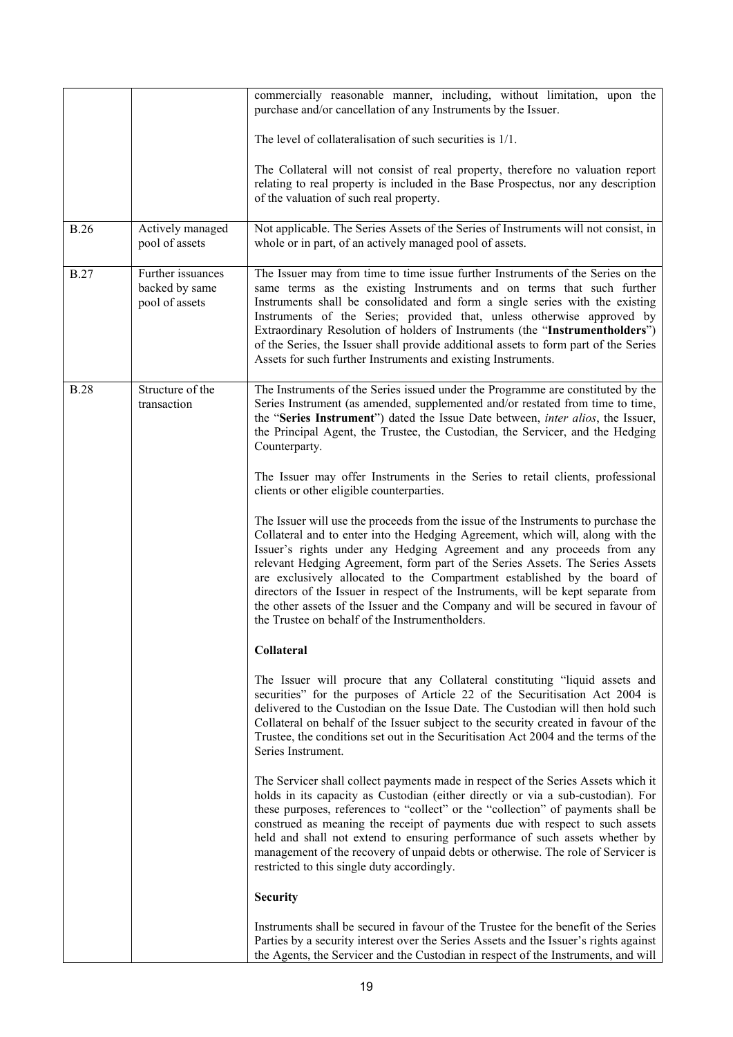|             |                                                       | commercially reasonable manner, including, without limitation, upon the<br>purchase and/or cancellation of any Instruments by the Issuer.                                                                                                                                                                                                                                                                                                                                                                                                                                                                                             |
|-------------|-------------------------------------------------------|---------------------------------------------------------------------------------------------------------------------------------------------------------------------------------------------------------------------------------------------------------------------------------------------------------------------------------------------------------------------------------------------------------------------------------------------------------------------------------------------------------------------------------------------------------------------------------------------------------------------------------------|
|             |                                                       | The level of collateralisation of such securities is 1/1.                                                                                                                                                                                                                                                                                                                                                                                                                                                                                                                                                                             |
|             |                                                       | The Collateral will not consist of real property, therefore no valuation report<br>relating to real property is included in the Base Prospectus, nor any description<br>of the valuation of such real property.                                                                                                                                                                                                                                                                                                                                                                                                                       |
| <b>B.26</b> | Actively managed<br>pool of assets                    | Not applicable. The Series Assets of the Series of Instruments will not consist, in<br>whole or in part, of an actively managed pool of assets.                                                                                                                                                                                                                                                                                                                                                                                                                                                                                       |
| <b>B.27</b> | Further issuances<br>backed by same<br>pool of assets | The Issuer may from time to time issue further Instruments of the Series on the<br>same terms as the existing Instruments and on terms that such further<br>Instruments shall be consolidated and form a single series with the existing<br>Instruments of the Series; provided that, unless otherwise approved by<br>Extraordinary Resolution of holders of Instruments (the "Instrumentholders")<br>of the Series, the Issuer shall provide additional assets to form part of the Series<br>Assets for such further Instruments and existing Instruments.                                                                           |
| <b>B.28</b> | Structure of the<br>transaction                       | The Instruments of the Series issued under the Programme are constituted by the<br>Series Instrument (as amended, supplemented and/or restated from time to time,<br>the "Series Instrument") dated the Issue Date between, <i>inter alios</i> , the Issuer,<br>the Principal Agent, the Trustee, the Custodian, the Servicer, and the Hedging<br>Counterparty.                                                                                                                                                                                                                                                                       |
|             |                                                       | The Issuer may offer Instruments in the Series to retail clients, professional<br>clients or other eligible counterparties.                                                                                                                                                                                                                                                                                                                                                                                                                                                                                                           |
|             |                                                       | The Issuer will use the proceeds from the issue of the Instruments to purchase the<br>Collateral and to enter into the Hedging Agreement, which will, along with the<br>Issuer's rights under any Hedging Agreement and any proceeds from any<br>relevant Hedging Agreement, form part of the Series Assets. The Series Assets<br>are exclusively allocated to the Compartment established by the board of<br>directors of the Issuer in respect of the Instruments, will be kept separate from<br>the other assets of the Issuer and the Company and will be secured in favour of<br>the Trustee on behalf of the Instrumentholders. |
|             |                                                       | Collateral                                                                                                                                                                                                                                                                                                                                                                                                                                                                                                                                                                                                                            |
|             |                                                       | The Issuer will procure that any Collateral constituting "liquid assets and<br>securities" for the purposes of Article 22 of the Securitisation Act 2004 is<br>delivered to the Custodian on the Issue Date. The Custodian will then hold such<br>Collateral on behalf of the Issuer subject to the security created in favour of the<br>Trustee, the conditions set out in the Securitisation Act 2004 and the terms of the<br>Series Instrument.                                                                                                                                                                                    |
|             |                                                       | The Servicer shall collect payments made in respect of the Series Assets which it<br>holds in its capacity as Custodian (either directly or via a sub-custodian). For<br>these purposes, references to "collect" or the "collection" of payments shall be<br>construed as meaning the receipt of payments due with respect to such assets<br>held and shall not extend to ensuring performance of such assets whether by<br>management of the recovery of unpaid debts or otherwise. The role of Servicer is<br>restricted to this single duty accordingly.                                                                           |
|             |                                                       | <b>Security</b>                                                                                                                                                                                                                                                                                                                                                                                                                                                                                                                                                                                                                       |
|             |                                                       | Instruments shall be secured in favour of the Trustee for the benefit of the Series<br>Parties by a security interest over the Series Assets and the Issuer's rights against<br>the Agents, the Servicer and the Custodian in respect of the Instruments, and will                                                                                                                                                                                                                                                                                                                                                                    |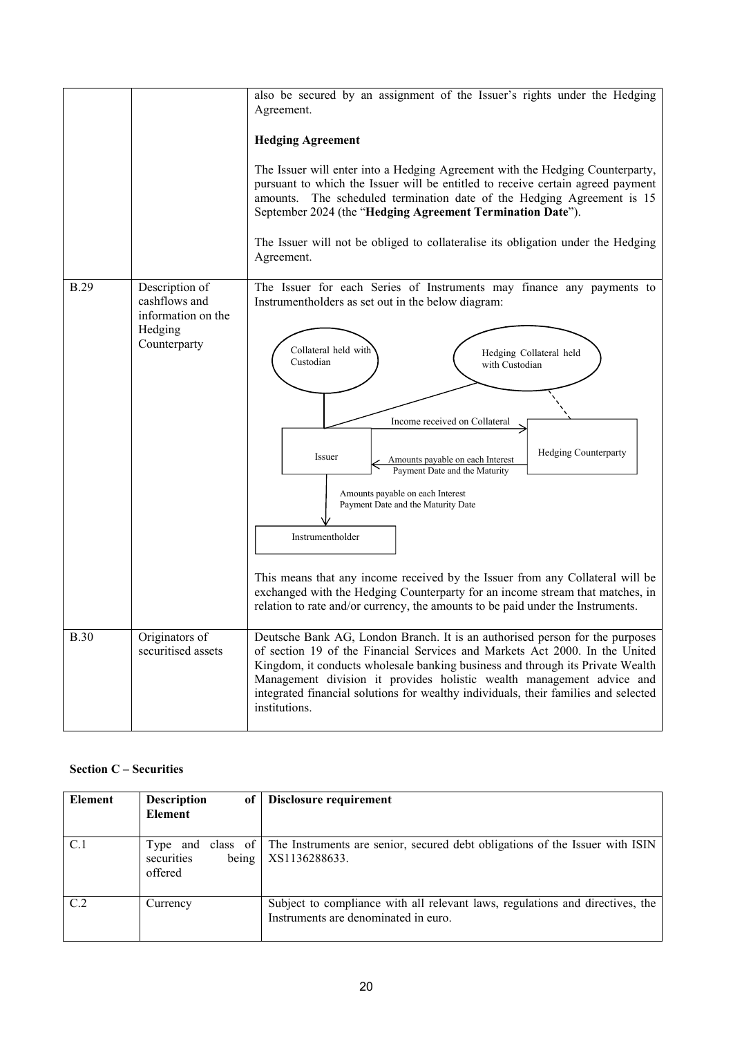|             |                                                                                  | also be secured by an assignment of the Issuer's rights under the Hedging<br>Agreement.<br><b>Hedging Agreement</b><br>The Issuer will enter into a Hedging Agreement with the Hedging Counterparty,<br>pursuant to which the Issuer will be entitled to receive certain agreed payment<br>amounts. The scheduled termination date of the Hedging Agreement is 15<br>September 2024 (the "Hedging Agreement Termination Date").<br>The Issuer will not be obliged to collateralise its obligation under the Hedging<br>Agreement.                                                                                                                                                                               |
|-------------|----------------------------------------------------------------------------------|-----------------------------------------------------------------------------------------------------------------------------------------------------------------------------------------------------------------------------------------------------------------------------------------------------------------------------------------------------------------------------------------------------------------------------------------------------------------------------------------------------------------------------------------------------------------------------------------------------------------------------------------------------------------------------------------------------------------|
| <b>B.29</b> | Description of<br>cashflows and<br>information on the<br>Hedging<br>Counterparty | The Issuer for each Series of Instruments may finance any payments to<br>Instrumentholders as set out in the below diagram:<br>Collateral held with<br>Hedging Collateral held<br>Custodian<br>with Custodian<br>Income received on Collateral<br><b>Hedging Counterparty</b><br>Issuer<br>Amounts payable on each Interest<br>Payment Date and the Maturity<br>Amounts payable on each Interest<br>Payment Date and the Maturity Date<br>Instrumentholder<br>This means that any income received by the Issuer from any Collateral will be<br>exchanged with the Hedging Counterparty for an income stream that matches, in<br>relation to rate and/or currency, the amounts to be paid under the Instruments. |
| <b>B.30</b> | Originators of<br>securitised assets                                             | Deutsche Bank AG, London Branch. It is an authorised person for the purposes<br>of section 19 of the Financial Services and Markets Act 2000. In the United<br>Kingdom, it conducts wholesale banking business and through its Private Wealth<br>Management division it provides holistic wealth management advice and<br>integrated financial solutions for wealthy individuals, their families and selected<br>institutions.                                                                                                                                                                                                                                                                                  |

# **Section C – Securities**

| Element | <b>Description</b><br>of       | Disclosure requirement                                                                                                |
|---------|--------------------------------|-----------------------------------------------------------------------------------------------------------------------|
|         | Element                        |                                                                                                                       |
| C.1     | being<br>securities<br>offered | Type and class of The Instruments are senior, secured debt obligations of the Issuer with ISIN<br>XS1136288633.       |
| C.2     | Currency                       | Subject to compliance with all relevant laws, regulations and directives, the<br>Instruments are denominated in euro. |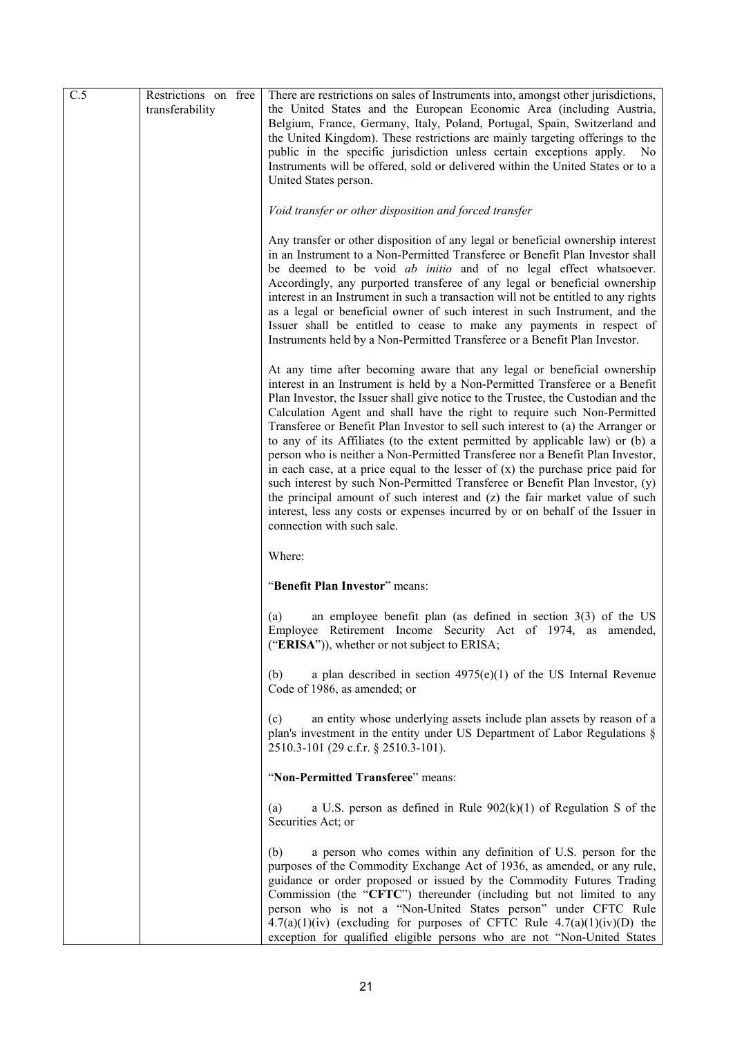| C.5 | Restrictions on free<br>transferability | There are restrictions on sales of Instruments into, amongst other jurisdictions,<br>the United States and the European Economic Area (including Austria,<br>Belgium, France, Germany, Italy, Poland, Portugal, Spain, Switzerland and<br>the United Kingdom). These restrictions are mainly targeting offerings to the<br>public in the specific jurisdiction unless certain exceptions apply.<br>No.<br>Instruments will be offered, sold or delivered within the United States or to a<br>United States person.                                                                                                                                                                                                                                                                                                                                                                                                                                 |
|-----|-----------------------------------------|----------------------------------------------------------------------------------------------------------------------------------------------------------------------------------------------------------------------------------------------------------------------------------------------------------------------------------------------------------------------------------------------------------------------------------------------------------------------------------------------------------------------------------------------------------------------------------------------------------------------------------------------------------------------------------------------------------------------------------------------------------------------------------------------------------------------------------------------------------------------------------------------------------------------------------------------------|
|     |                                         | Void transfer or other disposition and forced transfer                                                                                                                                                                                                                                                                                                                                                                                                                                                                                                                                                                                                                                                                                                                                                                                                                                                                                             |
|     |                                         | Any transfer or other disposition of any legal or beneficial ownership interest<br>in an Instrument to a Non-Permitted Transferee or Benefit Plan Investor shall<br>be deemed to be void ab initio and of no legal effect whatsoever.<br>Accordingly, any purported transferee of any legal or beneficial ownership<br>interest in an Instrument in such a transaction will not be entitled to any rights<br>as a legal or beneficial owner of such interest in such Instrument, and the<br>Issuer shall be entitled to cease to make any payments in respect of<br>Instruments held by a Non-Permitted Transferee or a Benefit Plan Investor.                                                                                                                                                                                                                                                                                                     |
|     |                                         | At any time after becoming aware that any legal or beneficial ownership<br>interest in an Instrument is held by a Non-Permitted Transferee or a Benefit<br>Plan Investor, the Issuer shall give notice to the Trustee, the Custodian and the<br>Calculation Agent and shall have the right to require such Non-Permitted<br>Transferee or Benefit Plan Investor to sell such interest to (a) the Arranger or<br>to any of its Affiliates (to the extent permitted by applicable law) or (b) a<br>person who is neither a Non-Permitted Transferee nor a Benefit Plan Investor,<br>in each case, at a price equal to the lesser of $(x)$ the purchase price paid for<br>such interest by such Non-Permitted Transferee or Benefit Plan Investor, (y)<br>the principal amount of such interest and (z) the fair market value of such<br>interest, less any costs or expenses incurred by or on behalf of the Issuer in<br>connection with such sale. |
|     |                                         | Where:                                                                                                                                                                                                                                                                                                                                                                                                                                                                                                                                                                                                                                                                                                                                                                                                                                                                                                                                             |
|     |                                         | "Benefit Plan Investor" means:                                                                                                                                                                                                                                                                                                                                                                                                                                                                                                                                                                                                                                                                                                                                                                                                                                                                                                                     |
|     |                                         | an employee benefit plan (as defined in section $3(3)$ of the US<br>(a)<br>Employee Retirement Income Security Act of 1974, as amended,<br>(" $ERISA$ ")), whether or not subject to $ERISA$ ;                                                                                                                                                                                                                                                                                                                                                                                                                                                                                                                                                                                                                                                                                                                                                     |
|     |                                         | a plan described in section $4975(e)(1)$ of the US Internal Revenue<br>(b)<br>Code of 1986, as amended; or                                                                                                                                                                                                                                                                                                                                                                                                                                                                                                                                                                                                                                                                                                                                                                                                                                         |
|     |                                         | an entity whose underlying assets include plan assets by reason of a<br>(c)<br>plan's investment in the entity under US Department of Labor Regulations §<br>2510.3-101 (29 c.f.r. § 2510.3-101).                                                                                                                                                                                                                                                                                                                                                                                                                                                                                                                                                                                                                                                                                                                                                  |
|     |                                         | "Non-Permitted Transferee" means:                                                                                                                                                                                                                                                                                                                                                                                                                                                                                                                                                                                                                                                                                                                                                                                                                                                                                                                  |
|     |                                         | a U.S. person as defined in Rule $902(k)(1)$ of Regulation S of the<br>(a)<br>Securities Act; or                                                                                                                                                                                                                                                                                                                                                                                                                                                                                                                                                                                                                                                                                                                                                                                                                                                   |
|     |                                         | a person who comes within any definition of U.S. person for the<br>(b)<br>purposes of the Commodity Exchange Act of 1936, as amended, or any rule,<br>guidance or order proposed or issued by the Commodity Futures Trading<br>Commission (the "CFTC") thereunder (including but not limited to any<br>person who is not a "Non-United States person" under CFTC Rule<br>$4.7(a)(1)(iv)$ (excluding for purposes of CFTC Rule $4.7(a)(1)(iv)(D)$ the<br>exception for qualified eligible persons who are not "Non-United States                                                                                                                                                                                                                                                                                                                                                                                                                    |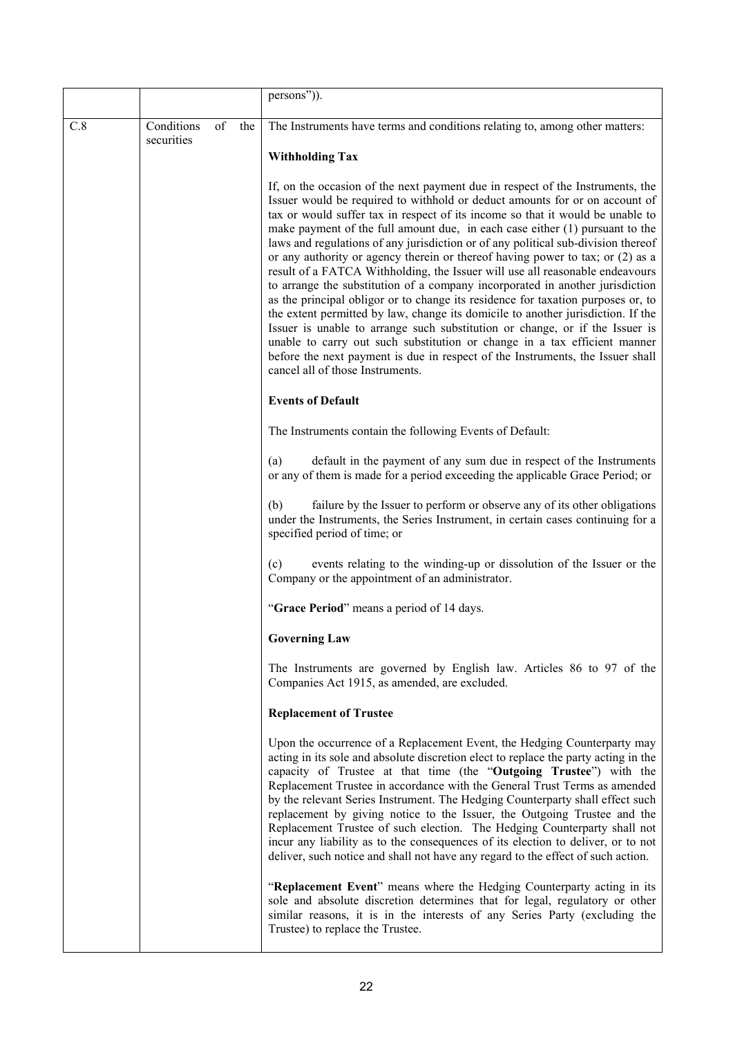|     |                          |           | persons")).                                                                                                                                                                                                                                                                                                                                                                                                                                                                                                                                                                                                                                                                                                                                                                                                                                                                                                                                                                                                                                                                                                                        |
|-----|--------------------------|-----------|------------------------------------------------------------------------------------------------------------------------------------------------------------------------------------------------------------------------------------------------------------------------------------------------------------------------------------------------------------------------------------------------------------------------------------------------------------------------------------------------------------------------------------------------------------------------------------------------------------------------------------------------------------------------------------------------------------------------------------------------------------------------------------------------------------------------------------------------------------------------------------------------------------------------------------------------------------------------------------------------------------------------------------------------------------------------------------------------------------------------------------|
| C.8 | Conditions<br>securities | of<br>the | The Instruments have terms and conditions relating to, among other matters:                                                                                                                                                                                                                                                                                                                                                                                                                                                                                                                                                                                                                                                                                                                                                                                                                                                                                                                                                                                                                                                        |
|     |                          |           | <b>Withholding Tax</b>                                                                                                                                                                                                                                                                                                                                                                                                                                                                                                                                                                                                                                                                                                                                                                                                                                                                                                                                                                                                                                                                                                             |
|     |                          |           | If, on the occasion of the next payment due in respect of the Instruments, the<br>Issuer would be required to withhold or deduct amounts for or on account of<br>tax or would suffer tax in respect of its income so that it would be unable to<br>make payment of the full amount due, in each case either (1) pursuant to the<br>laws and regulations of any jurisdiction or of any political sub-division thereof<br>or any authority or agency therein or thereof having power to tax; or (2) as a<br>result of a FATCA Withholding, the Issuer will use all reasonable endeavours<br>to arrange the substitution of a company incorporated in another jurisdiction<br>as the principal obligor or to change its residence for taxation purposes or, to<br>the extent permitted by law, change its domicile to another jurisdiction. If the<br>Issuer is unable to arrange such substitution or change, or if the Issuer is<br>unable to carry out such substitution or change in a tax efficient manner<br>before the next payment is due in respect of the Instruments, the Issuer shall<br>cancel all of those Instruments. |
|     |                          |           | <b>Events of Default</b>                                                                                                                                                                                                                                                                                                                                                                                                                                                                                                                                                                                                                                                                                                                                                                                                                                                                                                                                                                                                                                                                                                           |
|     |                          |           | The Instruments contain the following Events of Default:                                                                                                                                                                                                                                                                                                                                                                                                                                                                                                                                                                                                                                                                                                                                                                                                                                                                                                                                                                                                                                                                           |
|     |                          |           | default in the payment of any sum due in respect of the Instruments<br>(a)<br>or any of them is made for a period exceeding the applicable Grace Period; or                                                                                                                                                                                                                                                                                                                                                                                                                                                                                                                                                                                                                                                                                                                                                                                                                                                                                                                                                                        |
|     |                          |           | failure by the Issuer to perform or observe any of its other obligations<br>(b)<br>under the Instruments, the Series Instrument, in certain cases continuing for a<br>specified period of time; or                                                                                                                                                                                                                                                                                                                                                                                                                                                                                                                                                                                                                                                                                                                                                                                                                                                                                                                                 |
|     |                          |           | events relating to the winding-up or dissolution of the Issuer or the<br>(c)<br>Company or the appointment of an administrator.                                                                                                                                                                                                                                                                                                                                                                                                                                                                                                                                                                                                                                                                                                                                                                                                                                                                                                                                                                                                    |
|     |                          |           | "Grace Period" means a period of 14 days.                                                                                                                                                                                                                                                                                                                                                                                                                                                                                                                                                                                                                                                                                                                                                                                                                                                                                                                                                                                                                                                                                          |
|     |                          |           | <b>Governing Law</b>                                                                                                                                                                                                                                                                                                                                                                                                                                                                                                                                                                                                                                                                                                                                                                                                                                                                                                                                                                                                                                                                                                               |
|     |                          |           | The Instruments are governed by English law. Articles 86 to 97 of the<br>Companies Act 1915, as amended, are excluded.                                                                                                                                                                                                                                                                                                                                                                                                                                                                                                                                                                                                                                                                                                                                                                                                                                                                                                                                                                                                             |
|     |                          |           | <b>Replacement of Trustee</b>                                                                                                                                                                                                                                                                                                                                                                                                                                                                                                                                                                                                                                                                                                                                                                                                                                                                                                                                                                                                                                                                                                      |
|     |                          |           | Upon the occurrence of a Replacement Event, the Hedging Counterparty may<br>acting in its sole and absolute discretion elect to replace the party acting in the<br>capacity of Trustee at that time (the "Outgoing Trustee") with the<br>Replacement Trustee in accordance with the General Trust Terms as amended<br>by the relevant Series Instrument. The Hedging Counterparty shall effect such<br>replacement by giving notice to the Issuer, the Outgoing Trustee and the<br>Replacement Trustee of such election. The Hedging Counterparty shall not<br>incur any liability as to the consequences of its election to deliver, or to not<br>deliver, such notice and shall not have any regard to the effect of such action.                                                                                                                                                                                                                                                                                                                                                                                                |
|     |                          |           | "Replacement Event" means where the Hedging Counterparty acting in its<br>sole and absolute discretion determines that for legal, regulatory or other<br>similar reasons, it is in the interests of any Series Party (excluding the<br>Trustee) to replace the Trustee.                                                                                                                                                                                                                                                                                                                                                                                                                                                                                                                                                                                                                                                                                                                                                                                                                                                            |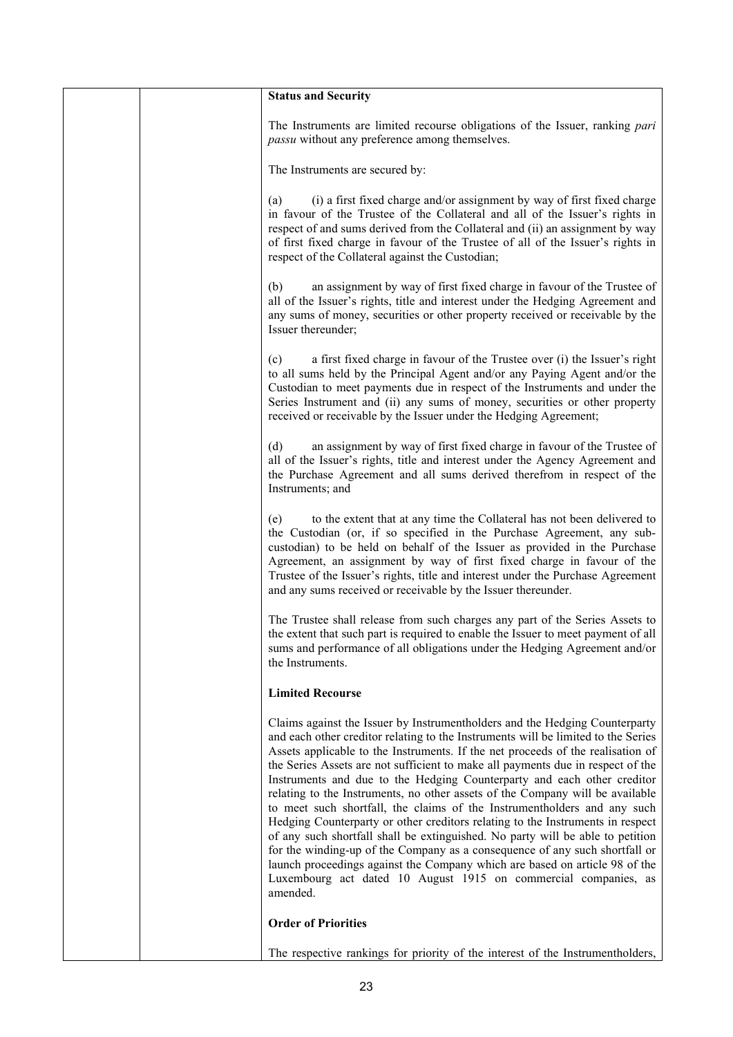|  | <b>Status and Security</b>                                                                                                                                                                                                                                                                                                                                                                                                                                                                                                                                                                                                                                                                                                                                                                                                                                                                                                                                                                      |
|--|-------------------------------------------------------------------------------------------------------------------------------------------------------------------------------------------------------------------------------------------------------------------------------------------------------------------------------------------------------------------------------------------------------------------------------------------------------------------------------------------------------------------------------------------------------------------------------------------------------------------------------------------------------------------------------------------------------------------------------------------------------------------------------------------------------------------------------------------------------------------------------------------------------------------------------------------------------------------------------------------------|
|  | The Instruments are limited recourse obligations of the Issuer, ranking pari<br><i>passu</i> without any preference among themselves.                                                                                                                                                                                                                                                                                                                                                                                                                                                                                                                                                                                                                                                                                                                                                                                                                                                           |
|  | The Instruments are secured by:                                                                                                                                                                                                                                                                                                                                                                                                                                                                                                                                                                                                                                                                                                                                                                                                                                                                                                                                                                 |
|  | (i) a first fixed charge and/or assignment by way of first fixed charge<br>(a)<br>in favour of the Trustee of the Collateral and all of the Issuer's rights in<br>respect of and sums derived from the Collateral and (ii) an assignment by way<br>of first fixed charge in favour of the Trustee of all of the Issuer's rights in<br>respect of the Collateral against the Custodian;                                                                                                                                                                                                                                                                                                                                                                                                                                                                                                                                                                                                          |
|  | an assignment by way of first fixed charge in favour of the Trustee of<br>(b)<br>all of the Issuer's rights, title and interest under the Hedging Agreement and<br>any sums of money, securities or other property received or receivable by the<br>Issuer thereunder;                                                                                                                                                                                                                                                                                                                                                                                                                                                                                                                                                                                                                                                                                                                          |
|  | a first fixed charge in favour of the Trustee over (i) the Issuer's right<br>(c)<br>to all sums held by the Principal Agent and/or any Paying Agent and/or the<br>Custodian to meet payments due in respect of the Instruments and under the<br>Series Instrument and (ii) any sums of money, securities or other property<br>received or receivable by the Issuer under the Hedging Agreement;                                                                                                                                                                                                                                                                                                                                                                                                                                                                                                                                                                                                 |
|  | an assignment by way of first fixed charge in favour of the Trustee of<br>(d)<br>all of the Issuer's rights, title and interest under the Agency Agreement and<br>the Purchase Agreement and all sums derived therefrom in respect of the<br>Instruments; and                                                                                                                                                                                                                                                                                                                                                                                                                                                                                                                                                                                                                                                                                                                                   |
|  | to the extent that at any time the Collateral has not been delivered to<br>(e)<br>the Custodian (or, if so specified in the Purchase Agreement, any sub-<br>custodian) to be held on behalf of the Issuer as provided in the Purchase<br>Agreement, an assignment by way of first fixed charge in favour of the<br>Trustee of the Issuer's rights, title and interest under the Purchase Agreement<br>and any sums received or receivable by the Issuer thereunder.                                                                                                                                                                                                                                                                                                                                                                                                                                                                                                                             |
|  | The Trustee shall release from such charges any part of the Series Assets to<br>the extent that such part is required to enable the Issuer to meet payment of all<br>sums and performance of all obligations under the Hedging Agreement and/or<br>the Instruments.                                                                                                                                                                                                                                                                                                                                                                                                                                                                                                                                                                                                                                                                                                                             |
|  | <b>Limited Recourse</b>                                                                                                                                                                                                                                                                                                                                                                                                                                                                                                                                                                                                                                                                                                                                                                                                                                                                                                                                                                         |
|  | Claims against the Issuer by Instrumentholders and the Hedging Counterparty<br>and each other creditor relating to the Instruments will be limited to the Series<br>Assets applicable to the Instruments. If the net proceeds of the realisation of<br>the Series Assets are not sufficient to make all payments due in respect of the<br>Instruments and due to the Hedging Counterparty and each other creditor<br>relating to the Instruments, no other assets of the Company will be available<br>to meet such shortfall, the claims of the Instrumentholders and any such<br>Hedging Counterparty or other creditors relating to the Instruments in respect<br>of any such shortfall shall be extinguished. No party will be able to petition<br>for the winding-up of the Company as a consequence of any such shortfall or<br>launch proceedings against the Company which are based on article 98 of the<br>Luxembourg act dated 10 August 1915 on commercial companies, as<br>amended. |
|  | <b>Order of Priorities</b>                                                                                                                                                                                                                                                                                                                                                                                                                                                                                                                                                                                                                                                                                                                                                                                                                                                                                                                                                                      |
|  | The respective rankings for priority of the interest of the Instrumentholders,                                                                                                                                                                                                                                                                                                                                                                                                                                                                                                                                                                                                                                                                                                                                                                                                                                                                                                                  |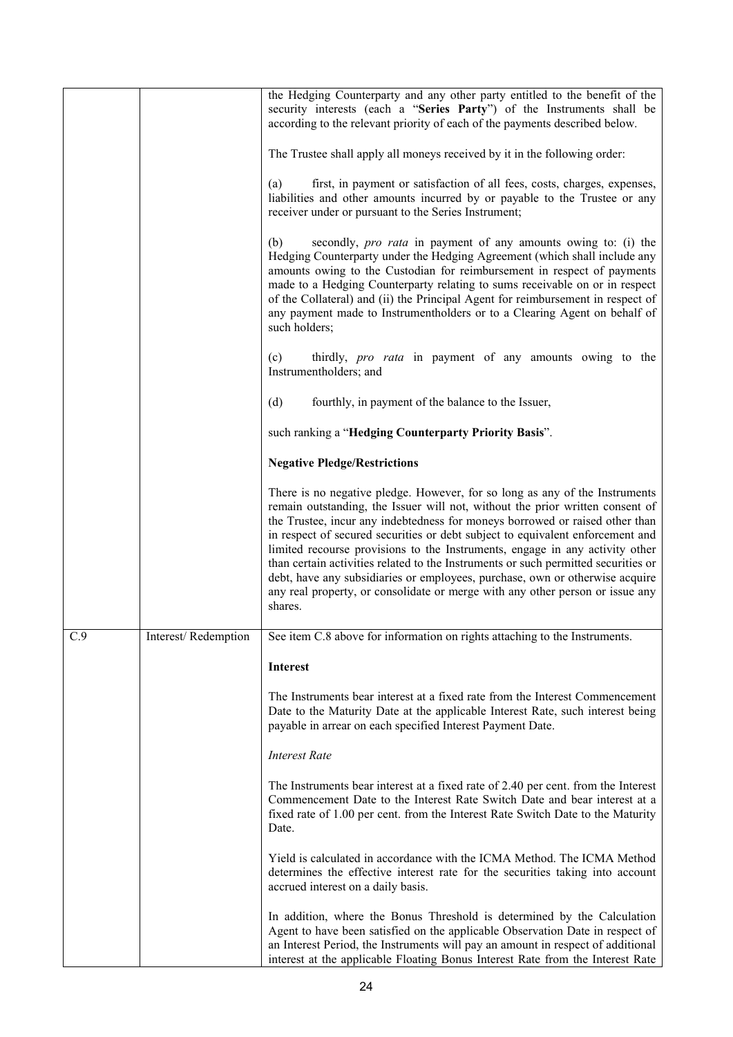|     |                     | the Hedging Counterparty and any other party entitled to the benefit of the<br>security interests (each a "Series Party") of the Instruments shall be<br>according to the relevant priority of each of the payments described below.                                                                                                                                                                                                                                                                                                                                                                                                                                             |
|-----|---------------------|----------------------------------------------------------------------------------------------------------------------------------------------------------------------------------------------------------------------------------------------------------------------------------------------------------------------------------------------------------------------------------------------------------------------------------------------------------------------------------------------------------------------------------------------------------------------------------------------------------------------------------------------------------------------------------|
|     |                     | The Trustee shall apply all moneys received by it in the following order:                                                                                                                                                                                                                                                                                                                                                                                                                                                                                                                                                                                                        |
|     |                     | first, in payment or satisfaction of all fees, costs, charges, expenses,<br>(a)<br>liabilities and other amounts incurred by or payable to the Trustee or any<br>receiver under or pursuant to the Series Instrument;                                                                                                                                                                                                                                                                                                                                                                                                                                                            |
|     |                     | secondly, <i>pro rata</i> in payment of any amounts owing to: (i) the<br>(b)<br>Hedging Counterparty under the Hedging Agreement (which shall include any<br>amounts owing to the Custodian for reimbursement in respect of payments<br>made to a Hedging Counterparty relating to sums receivable on or in respect<br>of the Collateral) and (ii) the Principal Agent for reimbursement in respect of<br>any payment made to Instrumentholders or to a Clearing Agent on behalf of<br>such holders;                                                                                                                                                                             |
|     |                     | thirdly, <i>pro rata</i> in payment of any amounts owing to the<br>(c)<br>Instrumentholders; and                                                                                                                                                                                                                                                                                                                                                                                                                                                                                                                                                                                 |
|     |                     | (d)<br>fourthly, in payment of the balance to the Issuer,                                                                                                                                                                                                                                                                                                                                                                                                                                                                                                                                                                                                                        |
|     |                     | such ranking a "Hedging Counterparty Priority Basis".                                                                                                                                                                                                                                                                                                                                                                                                                                                                                                                                                                                                                            |
|     |                     | <b>Negative Pledge/Restrictions</b>                                                                                                                                                                                                                                                                                                                                                                                                                                                                                                                                                                                                                                              |
|     |                     | There is no negative pledge. However, for so long as any of the Instruments<br>remain outstanding, the Issuer will not, without the prior written consent of<br>the Trustee, incur any indebtedness for moneys borrowed or raised other than<br>in respect of secured securities or debt subject to equivalent enforcement and<br>limited recourse provisions to the Instruments, engage in any activity other<br>than certain activities related to the Instruments or such permitted securities or<br>debt, have any subsidiaries or employees, purchase, own or otherwise acquire<br>any real property, or consolidate or merge with any other person or issue any<br>shares. |
| C.9 | Interest/Redemption | See item C.8 above for information on rights attaching to the Instruments.                                                                                                                                                                                                                                                                                                                                                                                                                                                                                                                                                                                                       |
|     |                     | <b>Interest</b>                                                                                                                                                                                                                                                                                                                                                                                                                                                                                                                                                                                                                                                                  |
|     |                     | The Instruments bear interest at a fixed rate from the Interest Commencement<br>Date to the Maturity Date at the applicable Interest Rate, such interest being<br>payable in arrear on each specified Interest Payment Date.                                                                                                                                                                                                                                                                                                                                                                                                                                                     |
|     |                     | <b>Interest Rate</b>                                                                                                                                                                                                                                                                                                                                                                                                                                                                                                                                                                                                                                                             |
|     |                     | The Instruments bear interest at a fixed rate of 2.40 per cent. from the Interest<br>Commencement Date to the Interest Rate Switch Date and bear interest at a<br>fixed rate of 1.00 per cent. from the Interest Rate Switch Date to the Maturity<br>Date.                                                                                                                                                                                                                                                                                                                                                                                                                       |
|     |                     | Yield is calculated in accordance with the ICMA Method. The ICMA Method<br>determines the effective interest rate for the securities taking into account<br>accrued interest on a daily basis.                                                                                                                                                                                                                                                                                                                                                                                                                                                                                   |
|     |                     | In addition, where the Bonus Threshold is determined by the Calculation<br>Agent to have been satisfied on the applicable Observation Date in respect of<br>an Interest Period, the Instruments will pay an amount in respect of additional<br>interest at the applicable Floating Bonus Interest Rate from the Interest Rate                                                                                                                                                                                                                                                                                                                                                    |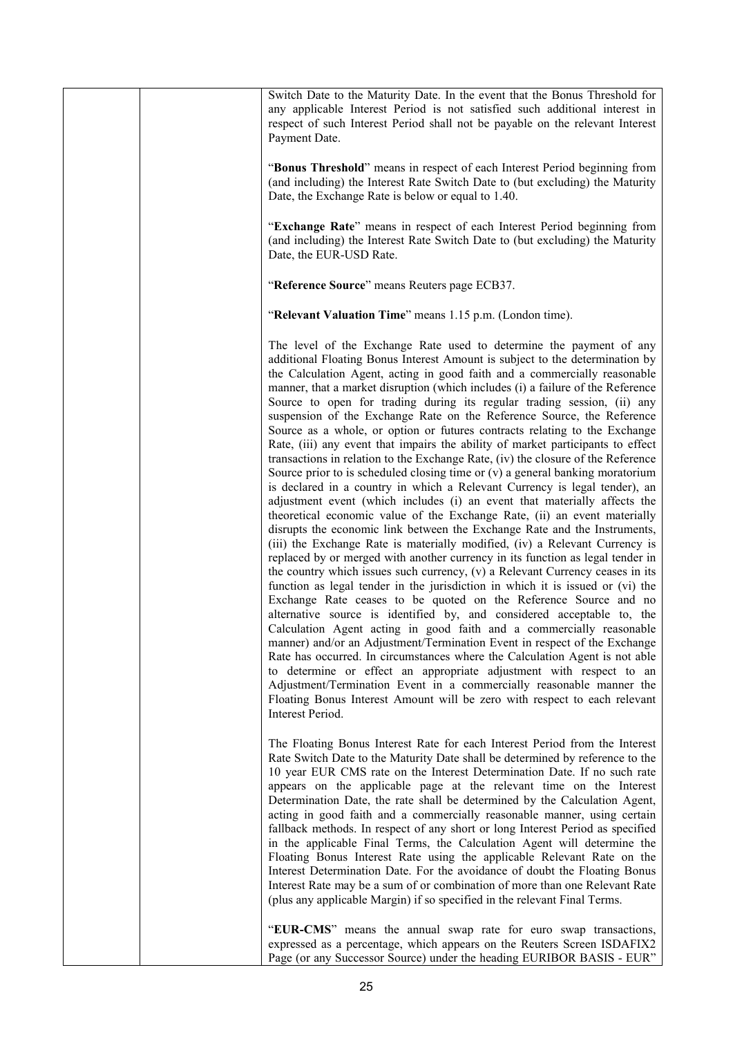| Switch Date to the Maturity Date. In the event that the Bonus Threshold for<br>any applicable Interest Period is not satisfied such additional interest in<br>respect of such Interest Period shall not be payable on the relevant Interest<br>Payment Date.                                                                                                                                                                                                                                                                                                                                                                                                                                                                                                                                                                                                                                                                                                                                                                                                                                                                                                                                                                                                                                                                                                                                                                                                                                                                                                                                                                                                                                                                                                                                                                                                                                                                                                                                                                                                                                                |
|-------------------------------------------------------------------------------------------------------------------------------------------------------------------------------------------------------------------------------------------------------------------------------------------------------------------------------------------------------------------------------------------------------------------------------------------------------------------------------------------------------------------------------------------------------------------------------------------------------------------------------------------------------------------------------------------------------------------------------------------------------------------------------------------------------------------------------------------------------------------------------------------------------------------------------------------------------------------------------------------------------------------------------------------------------------------------------------------------------------------------------------------------------------------------------------------------------------------------------------------------------------------------------------------------------------------------------------------------------------------------------------------------------------------------------------------------------------------------------------------------------------------------------------------------------------------------------------------------------------------------------------------------------------------------------------------------------------------------------------------------------------------------------------------------------------------------------------------------------------------------------------------------------------------------------------------------------------------------------------------------------------------------------------------------------------------------------------------------------------|
| "Bonus Threshold" means in respect of each Interest Period beginning from<br>(and including) the Interest Rate Switch Date to (but excluding) the Maturity<br>Date, the Exchange Rate is below or equal to 1.40.                                                                                                                                                                                                                                                                                                                                                                                                                                                                                                                                                                                                                                                                                                                                                                                                                                                                                                                                                                                                                                                                                                                                                                                                                                                                                                                                                                                                                                                                                                                                                                                                                                                                                                                                                                                                                                                                                            |
| "Exchange Rate" means in respect of each Interest Period beginning from<br>(and including) the Interest Rate Switch Date to (but excluding) the Maturity<br>Date, the EUR-USD Rate.                                                                                                                                                                                                                                                                                                                                                                                                                                                                                                                                                                                                                                                                                                                                                                                                                                                                                                                                                                                                                                                                                                                                                                                                                                                                                                                                                                                                                                                                                                                                                                                                                                                                                                                                                                                                                                                                                                                         |
| "Reference Source" means Reuters page ECB37.                                                                                                                                                                                                                                                                                                                                                                                                                                                                                                                                                                                                                                                                                                                                                                                                                                                                                                                                                                                                                                                                                                                                                                                                                                                                                                                                                                                                                                                                                                                                                                                                                                                                                                                                                                                                                                                                                                                                                                                                                                                                |
| "Relevant Valuation Time" means 1.15 p.m. (London time).                                                                                                                                                                                                                                                                                                                                                                                                                                                                                                                                                                                                                                                                                                                                                                                                                                                                                                                                                                                                                                                                                                                                                                                                                                                                                                                                                                                                                                                                                                                                                                                                                                                                                                                                                                                                                                                                                                                                                                                                                                                    |
| The level of the Exchange Rate used to determine the payment of any<br>additional Floating Bonus Interest Amount is subject to the determination by<br>the Calculation Agent, acting in good faith and a commercially reasonable<br>manner, that a market disruption (which includes (i) a failure of the Reference<br>Source to open for trading during its regular trading session, (ii) any<br>suspension of the Exchange Rate on the Reference Source, the Reference<br>Source as a whole, or option or futures contracts relating to the Exchange<br>Rate, (iii) any event that impairs the ability of market participants to effect<br>transactions in relation to the Exchange Rate, (iv) the closure of the Reference<br>Source prior to is scheduled closing time or $(v)$ a general banking moratorium<br>is declared in a country in which a Relevant Currency is legal tender), an<br>adjustment event (which includes (i) an event that materially affects the<br>theoretical economic value of the Exchange Rate, (ii) an event materially<br>disrupts the economic link between the Exchange Rate and the Instruments,<br>(iii) the Exchange Rate is materially modified, (iv) a Relevant Currency is<br>replaced by or merged with another currency in its function as legal tender in<br>the country which issues such currency, (v) a Relevant Currency ceases in its<br>function as legal tender in the jurisdiction in which it is issued or (vi) the<br>Exchange Rate ceases to be quoted on the Reference Source and no<br>alternative source is identified by, and considered acceptable to, the<br>Calculation Agent acting in good faith and a commercially reasonable<br>manner) and/or an Adjustment/Termination Event in respect of the Exchange<br>Rate has occurred. In circumstances where the Calculation Agent is not able<br>to determine or effect an appropriate adjustment with respect to an<br>Adjustment/Termination Event in a commercially reasonable manner the<br>Floating Bonus Interest Amount will be zero with respect to each relevant<br>Interest Period. |
| The Floating Bonus Interest Rate for each Interest Period from the Interest<br>Rate Switch Date to the Maturity Date shall be determined by reference to the<br>10 year EUR CMS rate on the Interest Determination Date. If no such rate<br>appears on the applicable page at the relevant time on the Interest<br>Determination Date, the rate shall be determined by the Calculation Agent,<br>acting in good faith and a commercially reasonable manner, using certain<br>fallback methods. In respect of any short or long Interest Period as specified<br>in the applicable Final Terms, the Calculation Agent will determine the<br>Floating Bonus Interest Rate using the applicable Relevant Rate on the<br>Interest Determination Date. For the avoidance of doubt the Floating Bonus<br>Interest Rate may be a sum of or combination of more than one Relevant Rate<br>(plus any applicable Margin) if so specified in the relevant Final Terms.                                                                                                                                                                                                                                                                                                                                                                                                                                                                                                                                                                                                                                                                                                                                                                                                                                                                                                                                                                                                                                                                                                                                                  |
| "EUR-CMS" means the annual swap rate for euro swap transactions,<br>expressed as a percentage, which appears on the Reuters Screen ISDAFIX2<br>Page (or any Successor Source) under the heading EURIBOR BASIS - EUR"                                                                                                                                                                                                                                                                                                                                                                                                                                                                                                                                                                                                                                                                                                                                                                                                                                                                                                                                                                                                                                                                                                                                                                                                                                                                                                                                                                                                                                                                                                                                                                                                                                                                                                                                                                                                                                                                                        |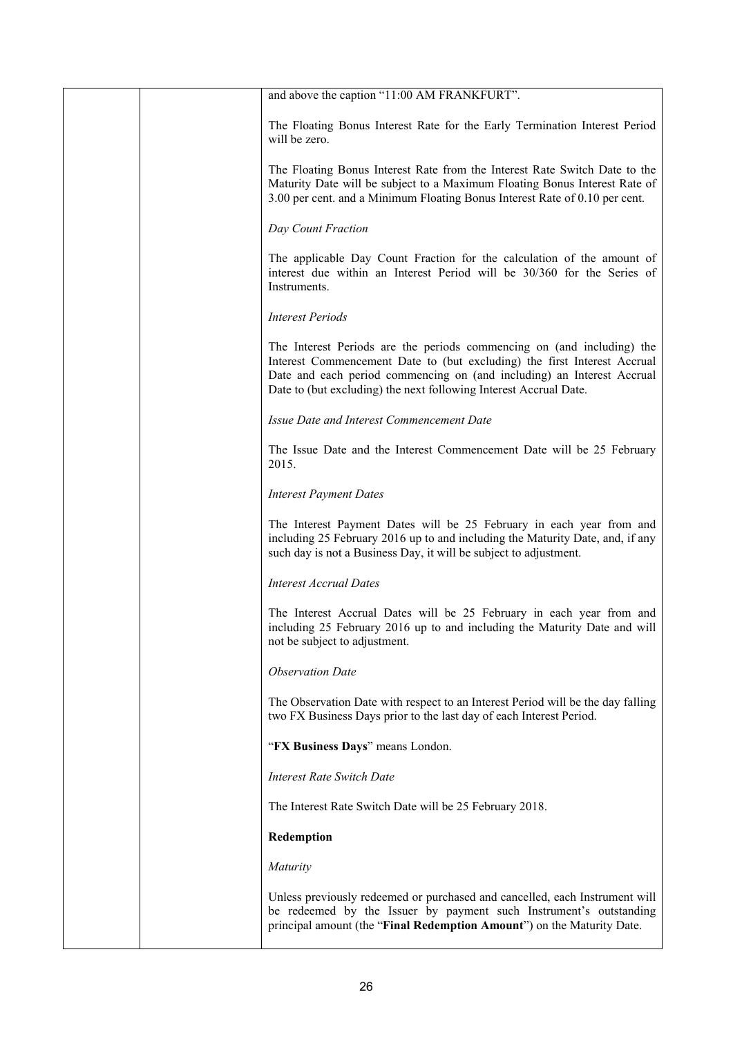| and above the caption "11:00 AM FRANKFURT".                                                                                                                                                                                                                                                       |
|---------------------------------------------------------------------------------------------------------------------------------------------------------------------------------------------------------------------------------------------------------------------------------------------------|
| The Floating Bonus Interest Rate for the Early Termination Interest Period<br>will be zero.                                                                                                                                                                                                       |
| The Floating Bonus Interest Rate from the Interest Rate Switch Date to the<br>Maturity Date will be subject to a Maximum Floating Bonus Interest Rate of<br>3.00 per cent. and a Minimum Floating Bonus Interest Rate of 0.10 per cent.                                                           |
| Day Count Fraction                                                                                                                                                                                                                                                                                |
| The applicable Day Count Fraction for the calculation of the amount of<br>interest due within an Interest Period will be 30/360 for the Series of<br>Instruments.                                                                                                                                 |
| <b>Interest Periods</b>                                                                                                                                                                                                                                                                           |
| The Interest Periods are the periods commencing on (and including) the<br>Interest Commencement Date to (but excluding) the first Interest Accrual<br>Date and each period commencing on (and including) an Interest Accrual<br>Date to (but excluding) the next following Interest Accrual Date. |
| Issue Date and Interest Commencement Date                                                                                                                                                                                                                                                         |
| The Issue Date and the Interest Commencement Date will be 25 February<br>2015.                                                                                                                                                                                                                    |
| <b>Interest Payment Dates</b>                                                                                                                                                                                                                                                                     |
| The Interest Payment Dates will be 25 February in each year from and<br>including 25 February 2016 up to and including the Maturity Date, and, if any<br>such day is not a Business Day, it will be subject to adjustment.                                                                        |
| <b>Interest Accrual Dates</b>                                                                                                                                                                                                                                                                     |
| The Interest Accrual Dates will be 25 February in each year from and<br>including 25 February 2016 up to and including the Maturity Date and will<br>not be subject to adjustment.                                                                                                                |
| <b>Observation Date</b>                                                                                                                                                                                                                                                                           |
| The Observation Date with respect to an Interest Period will be the day falling<br>two FX Business Days prior to the last day of each Interest Period.                                                                                                                                            |
| "FX Business Days" means London.                                                                                                                                                                                                                                                                  |
| <b>Interest Rate Switch Date</b>                                                                                                                                                                                                                                                                  |
| The Interest Rate Switch Date will be 25 February 2018.                                                                                                                                                                                                                                           |
| Redemption                                                                                                                                                                                                                                                                                        |
| Maturity                                                                                                                                                                                                                                                                                          |
| Unless previously redeemed or purchased and cancelled, each Instrument will<br>be redeemed by the Issuer by payment such Instrument's outstanding<br>principal amount (the "Final Redemption Amount") on the Maturity Date.                                                                       |
|                                                                                                                                                                                                                                                                                                   |

 $\overline{\phantom{a}}$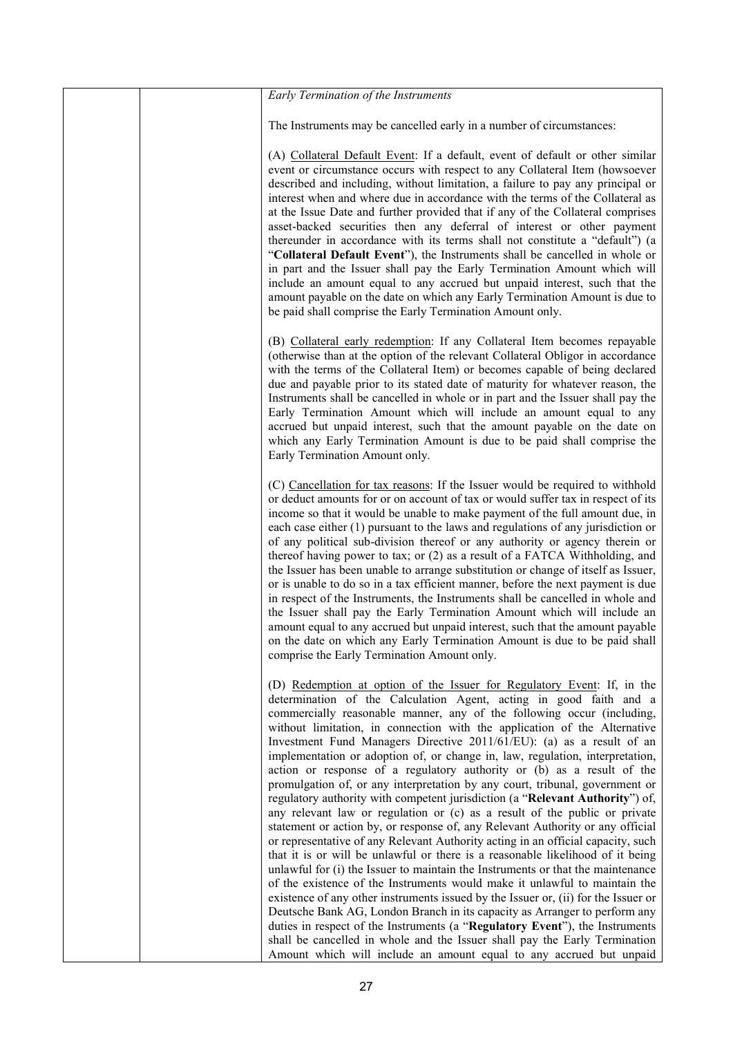| Early Termination of the Instruments                                                                                                                                                                                                                                                                                                                                                                                                                                                                                                                                                                                                                                                                                                                                                                                                                                                                                                                                                                                                                                                                                                                                                                                                                                                                                                                                                                                                                                                                                                                                                                                      |
|---------------------------------------------------------------------------------------------------------------------------------------------------------------------------------------------------------------------------------------------------------------------------------------------------------------------------------------------------------------------------------------------------------------------------------------------------------------------------------------------------------------------------------------------------------------------------------------------------------------------------------------------------------------------------------------------------------------------------------------------------------------------------------------------------------------------------------------------------------------------------------------------------------------------------------------------------------------------------------------------------------------------------------------------------------------------------------------------------------------------------------------------------------------------------------------------------------------------------------------------------------------------------------------------------------------------------------------------------------------------------------------------------------------------------------------------------------------------------------------------------------------------------------------------------------------------------------------------------------------------------|
| The Instruments may be cancelled early in a number of circumstances:                                                                                                                                                                                                                                                                                                                                                                                                                                                                                                                                                                                                                                                                                                                                                                                                                                                                                                                                                                                                                                                                                                                                                                                                                                                                                                                                                                                                                                                                                                                                                      |
| (A) Collateral Default Event: If a default, event of default or other similar<br>event or circumstance occurs with respect to any Collateral Item (howsoever<br>described and including, without limitation, a failure to pay any principal or<br>interest when and where due in accordance with the terms of the Collateral as<br>at the Issue Date and further provided that if any of the Collateral comprises<br>asset-backed securities then any deferral of interest or other payment<br>thereunder in accordance with its terms shall not constitute a "default") (a<br>"Collateral Default Event"), the Instruments shall be cancelled in whole or<br>in part and the Issuer shall pay the Early Termination Amount which will<br>include an amount equal to any accrued but unpaid interest, such that the<br>amount payable on the date on which any Early Termination Amount is due to<br>be paid shall comprise the Early Termination Amount only.                                                                                                                                                                                                                                                                                                                                                                                                                                                                                                                                                                                                                                                            |
| (B) Collateral early redemption: If any Collateral Item becomes repayable<br>(otherwise than at the option of the relevant Collateral Obligor in accordance<br>with the terms of the Collateral Item) or becomes capable of being declared<br>due and payable prior to its stated date of maturity for whatever reason, the<br>Instruments shall be cancelled in whole or in part and the Issuer shall pay the<br>Early Termination Amount which will include an amount equal to any<br>accrued but unpaid interest, such that the amount payable on the date on<br>which any Early Termination Amount is due to be paid shall comprise the<br>Early Termination Amount only.                                                                                                                                                                                                                                                                                                                                                                                                                                                                                                                                                                                                                                                                                                                                                                                                                                                                                                                                             |
| (C) Cancellation for tax reasons: If the Issuer would be required to withhold<br>or deduct amounts for or on account of tax or would suffer tax in respect of its<br>income so that it would be unable to make payment of the full amount due, in<br>each case either $(1)$ pursuant to the laws and regulations of any jurisdiction or<br>of any political sub-division thereof or any authority or agency therein or<br>thereof having power to tax; or (2) as a result of a FATCA Withholding, and<br>the Issuer has been unable to arrange substitution or change of itself as Issuer,<br>or is unable to do so in a tax efficient manner, before the next payment is due<br>in respect of the Instruments, the Instruments shall be cancelled in whole and<br>the Issuer shall pay the Early Termination Amount which will include an<br>amount equal to any accrued but unpaid interest, such that the amount payable<br>on the date on which any Early Termination Amount is due to be paid shall<br>comprise the Early Termination Amount only.                                                                                                                                                                                                                                                                                                                                                                                                                                                                                                                                                                   |
| (D) Redemption at option of the Issuer for Regulatory Event: If, in the<br>determination of the Calculation Agent, acting in good faith and a<br>commercially reasonable manner, any of the following occur (including,<br>without limitation, in connection with the application of the Alternative<br>Investment Fund Managers Directive 2011/61/EU): (a) as a result of an<br>implementation or adoption of, or change in, law, regulation, interpretation,<br>action or response of a regulatory authority or (b) as a result of the<br>promulgation of, or any interpretation by any court, tribunal, government or<br>regulatory authority with competent jurisdiction (a "Relevant Authority") of,<br>any relevant law or regulation or (c) as a result of the public or private<br>statement or action by, or response of, any Relevant Authority or any official<br>or representative of any Relevant Authority acting in an official capacity, such<br>that it is or will be unlawful or there is a reasonable likelihood of it being<br>unlawful for (i) the Issuer to maintain the Instruments or that the maintenance<br>of the existence of the Instruments would make it unlawful to maintain the<br>existence of any other instruments issued by the Issuer or, (ii) for the Issuer or<br>Deutsche Bank AG, London Branch in its capacity as Arranger to perform any<br>duties in respect of the Instruments (a "Regulatory Event"), the Instruments<br>shall be cancelled in whole and the Issuer shall pay the Early Termination<br>Amount which will include an amount equal to any accrued but unpaid |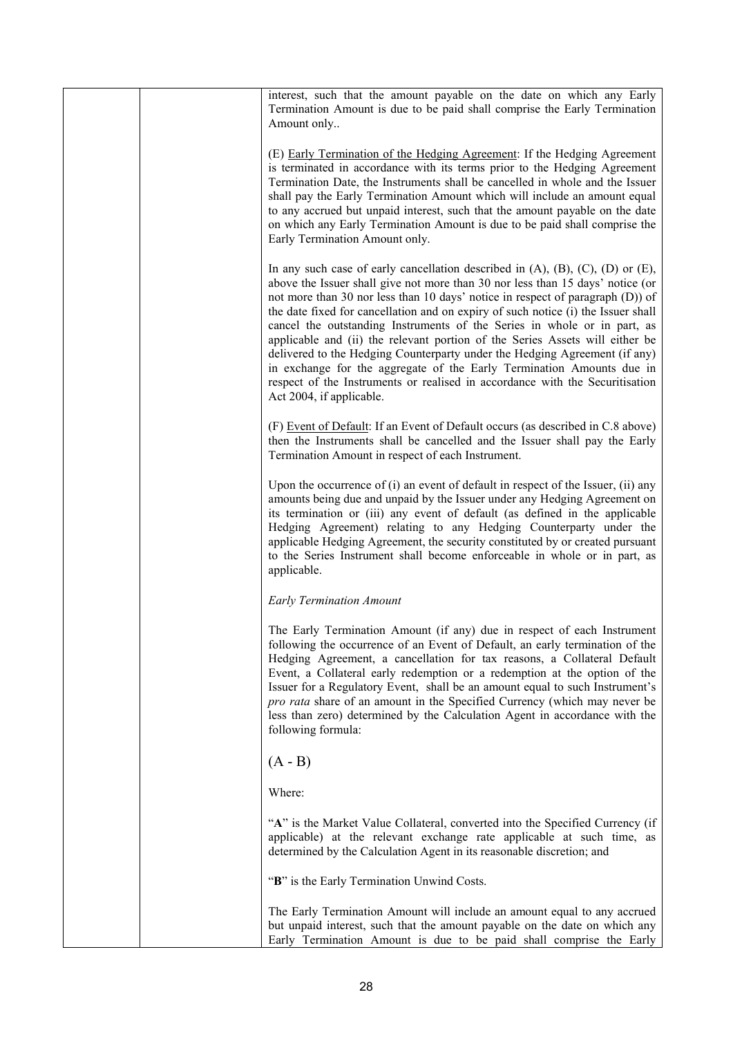|  | interest, such that the amount payable on the date on which any Early<br>Termination Amount is due to be paid shall comprise the Early Termination<br>Amount only                                                                                                                                                                                                                                                                                                                                                                                                                                                                                                                                                                                                                    |
|--|--------------------------------------------------------------------------------------------------------------------------------------------------------------------------------------------------------------------------------------------------------------------------------------------------------------------------------------------------------------------------------------------------------------------------------------------------------------------------------------------------------------------------------------------------------------------------------------------------------------------------------------------------------------------------------------------------------------------------------------------------------------------------------------|
|  | (E) Early Termination of the Hedging Agreement: If the Hedging Agreement<br>is terminated in accordance with its terms prior to the Hedging Agreement<br>Termination Date, the Instruments shall be cancelled in whole and the Issuer<br>shall pay the Early Termination Amount which will include an amount equal<br>to any accrued but unpaid interest, such that the amount payable on the date<br>on which any Early Termination Amount is due to be paid shall comprise the<br>Early Termination Amount only.                                                                                                                                                                                                                                                                   |
|  | In any such case of early cancellation described in $(A)$ , $(B)$ , $(C)$ , $(D)$ or $(E)$ ,<br>above the Issuer shall give not more than 30 nor less than 15 days' notice (or<br>not more than 30 nor less than 10 days' notice in respect of paragraph (D)) of<br>the date fixed for cancellation and on expiry of such notice (i) the Issuer shall<br>cancel the outstanding Instruments of the Series in whole or in part, as<br>applicable and (ii) the relevant portion of the Series Assets will either be<br>delivered to the Hedging Counterparty under the Hedging Agreement (if any)<br>in exchange for the aggregate of the Early Termination Amounts due in<br>respect of the Instruments or realised in accordance with the Securitisation<br>Act 2004, if applicable. |
|  | (F) Event of Default: If an Event of Default occurs (as described in C.8 above)<br>then the Instruments shall be cancelled and the Issuer shall pay the Early<br>Termination Amount in respect of each Instrument.                                                                                                                                                                                                                                                                                                                                                                                                                                                                                                                                                                   |
|  | Upon the occurrence of $(i)$ an event of default in respect of the Issuer, $(ii)$ any<br>amounts being due and unpaid by the Issuer under any Hedging Agreement on<br>its termination or (iii) any event of default (as defined in the applicable<br>Hedging Agreement) relating to any Hedging Counterparty under the<br>applicable Hedging Agreement, the security constituted by or created pursuant<br>to the Series Instrument shall become enforceable in whole or in part, as<br>applicable.                                                                                                                                                                                                                                                                                  |
|  | <b>Early Termination Amount</b>                                                                                                                                                                                                                                                                                                                                                                                                                                                                                                                                                                                                                                                                                                                                                      |
|  | The Early Termination Amount (if any) due in respect of each Instrument<br>following the occurrence of an Event of Default, an early termination of the<br>Hedging Agreement, a cancellation for tax reasons, a Collateral Default<br>Event, a Collateral early redemption or a redemption at the option of the<br>Issuer for a Regulatory Event, shall be an amount equal to such Instrument's<br>pro rata share of an amount in the Specified Currency (which may never be<br>less than zero) determined by the Calculation Agent in accordance with the<br>following formula:                                                                                                                                                                                                     |
|  | $(A - B)$                                                                                                                                                                                                                                                                                                                                                                                                                                                                                                                                                                                                                                                                                                                                                                            |
|  | Where:                                                                                                                                                                                                                                                                                                                                                                                                                                                                                                                                                                                                                                                                                                                                                                               |
|  | "A" is the Market Value Collateral, converted into the Specified Currency (if<br>applicable) at the relevant exchange rate applicable at such time, as<br>determined by the Calculation Agent in its reasonable discretion; and                                                                                                                                                                                                                                                                                                                                                                                                                                                                                                                                                      |
|  | "B" is the Early Termination Unwind Costs.                                                                                                                                                                                                                                                                                                                                                                                                                                                                                                                                                                                                                                                                                                                                           |
|  | The Early Termination Amount will include an amount equal to any accrued<br>but unpaid interest, such that the amount payable on the date on which any<br>Early Termination Amount is due to be paid shall comprise the Early                                                                                                                                                                                                                                                                                                                                                                                                                                                                                                                                                        |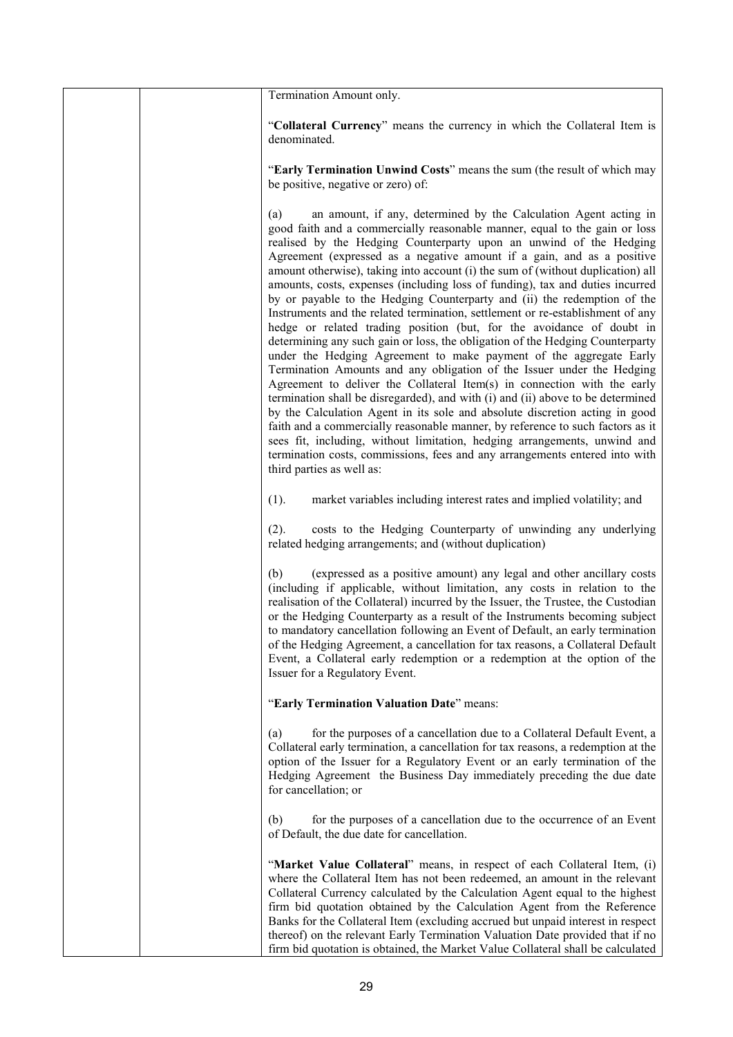| Termination Amount only.                                                                                                                                                                                                                                                                                                                                                                                                                                                                                                                                                                                                                                                                                                                                                                                                                                                                                                                                                                                                                                                                                                                                                                                                                                                                                                                                                                                                                                                   |
|----------------------------------------------------------------------------------------------------------------------------------------------------------------------------------------------------------------------------------------------------------------------------------------------------------------------------------------------------------------------------------------------------------------------------------------------------------------------------------------------------------------------------------------------------------------------------------------------------------------------------------------------------------------------------------------------------------------------------------------------------------------------------------------------------------------------------------------------------------------------------------------------------------------------------------------------------------------------------------------------------------------------------------------------------------------------------------------------------------------------------------------------------------------------------------------------------------------------------------------------------------------------------------------------------------------------------------------------------------------------------------------------------------------------------------------------------------------------------|
|                                                                                                                                                                                                                                                                                                                                                                                                                                                                                                                                                                                                                                                                                                                                                                                                                                                                                                                                                                                                                                                                                                                                                                                                                                                                                                                                                                                                                                                                            |
| "Collateral Currency" means the currency in which the Collateral Item is<br>denominated.                                                                                                                                                                                                                                                                                                                                                                                                                                                                                                                                                                                                                                                                                                                                                                                                                                                                                                                                                                                                                                                                                                                                                                                                                                                                                                                                                                                   |
| "Early Termination Unwind Costs" means the sum (the result of which may<br>be positive, negative or zero) of:                                                                                                                                                                                                                                                                                                                                                                                                                                                                                                                                                                                                                                                                                                                                                                                                                                                                                                                                                                                                                                                                                                                                                                                                                                                                                                                                                              |
| an amount, if any, determined by the Calculation Agent acting in<br>(a)<br>good faith and a commercially reasonable manner, equal to the gain or loss<br>realised by the Hedging Counterparty upon an unwind of the Hedging<br>Agreement (expressed as a negative amount if a gain, and as a positive<br>amount otherwise), taking into account (i) the sum of (without duplication) all<br>amounts, costs, expenses (including loss of funding), tax and duties incurred<br>by or payable to the Hedging Counterparty and (ii) the redemption of the<br>Instruments and the related termination, settlement or re-establishment of any<br>hedge or related trading position (but, for the avoidance of doubt in<br>determining any such gain or loss, the obligation of the Hedging Counterparty<br>under the Hedging Agreement to make payment of the aggregate Early<br>Termination Amounts and any obligation of the Issuer under the Hedging<br>Agreement to deliver the Collateral Item(s) in connection with the early<br>termination shall be disregarded), and with (i) and (ii) above to be determined<br>by the Calculation Agent in its sole and absolute discretion acting in good<br>faith and a commercially reasonable manner, by reference to such factors as it<br>sees fit, including, without limitation, hedging arrangements, unwind and<br>termination costs, commissions, fees and any arrangements entered into with<br>third parties as well as: |
| market variables including interest rates and implied volatility; and<br>(1).                                                                                                                                                                                                                                                                                                                                                                                                                                                                                                                                                                                                                                                                                                                                                                                                                                                                                                                                                                                                                                                                                                                                                                                                                                                                                                                                                                                              |
| costs to the Hedging Counterparty of unwinding any underlying<br>(2).<br>related hedging arrangements; and (without duplication)                                                                                                                                                                                                                                                                                                                                                                                                                                                                                                                                                                                                                                                                                                                                                                                                                                                                                                                                                                                                                                                                                                                                                                                                                                                                                                                                           |
| (b)<br>(expressed as a positive amount) any legal and other ancillary costs<br>(including if applicable, without limitation, any costs in relation to the<br>realisation of the Collateral) incurred by the Issuer, the Trustee, the Custodian<br>or the Hedging Counterparty as a result of the Instruments becoming subject<br>to mandatory cancellation following an Event of Default, an early termination<br>of the Hedging Agreement, a cancellation for tax reasons, a Collateral Default<br>Event, a Collateral early redemption or a redemption at the option of the<br>Issuer for a Regulatory Event.                                                                                                                                                                                                                                                                                                                                                                                                                                                                                                                                                                                                                                                                                                                                                                                                                                                            |
| "Early Termination Valuation Date" means:                                                                                                                                                                                                                                                                                                                                                                                                                                                                                                                                                                                                                                                                                                                                                                                                                                                                                                                                                                                                                                                                                                                                                                                                                                                                                                                                                                                                                                  |
| for the purposes of a cancellation due to a Collateral Default Event, a<br>(a)<br>Collateral early termination, a cancellation for tax reasons, a redemption at the<br>option of the Issuer for a Regulatory Event or an early termination of the<br>Hedging Agreement the Business Day immediately preceding the due date<br>for cancellation; or                                                                                                                                                                                                                                                                                                                                                                                                                                                                                                                                                                                                                                                                                                                                                                                                                                                                                                                                                                                                                                                                                                                         |
| for the purposes of a cancellation due to the occurrence of an Event<br>(b)<br>of Default, the due date for cancellation.                                                                                                                                                                                                                                                                                                                                                                                                                                                                                                                                                                                                                                                                                                                                                                                                                                                                                                                                                                                                                                                                                                                                                                                                                                                                                                                                                  |
| "Market Value Collateral" means, in respect of each Collateral Item, (i)<br>where the Collateral Item has not been redeemed, an amount in the relevant<br>Collateral Currency calculated by the Calculation Agent equal to the highest<br>firm bid quotation obtained by the Calculation Agent from the Reference<br>Banks for the Collateral Item (excluding accrued but unpaid interest in respect<br>thereof) on the relevant Early Termination Valuation Date provided that if no<br>firm bid quotation is obtained, the Market Value Collateral shall be calculated                                                                                                                                                                                                                                                                                                                                                                                                                                                                                                                                                                                                                                                                                                                                                                                                                                                                                                   |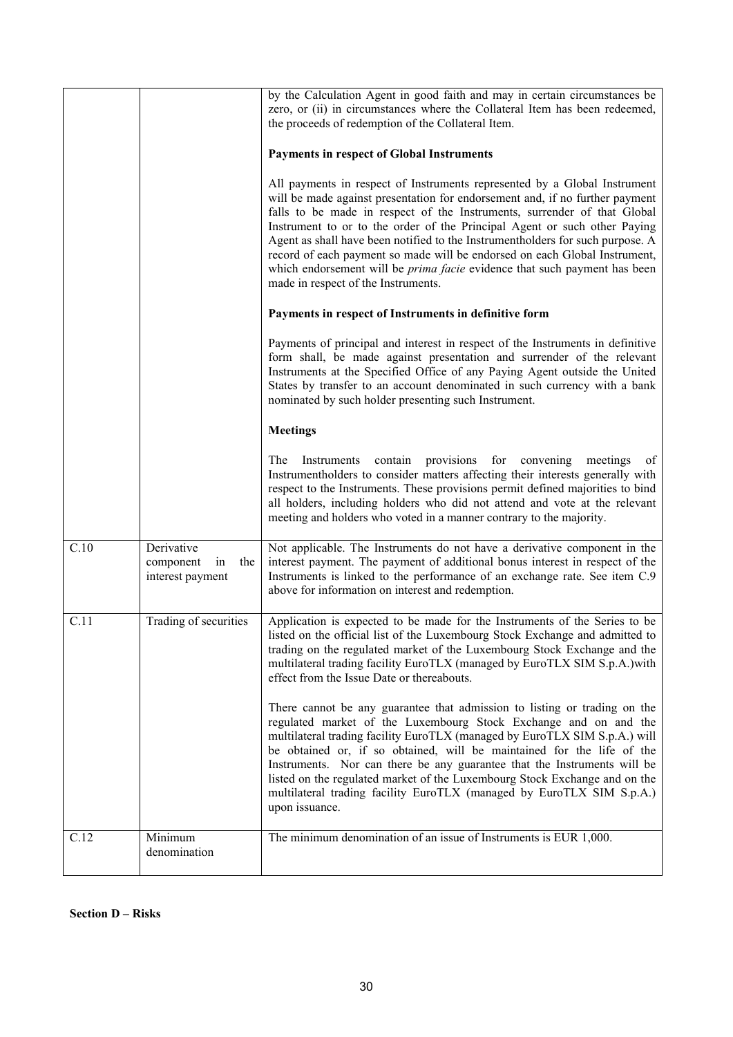|      |                                                          | by the Calculation Agent in good faith and may in certain circumstances be<br>zero, or (ii) in circumstances where the Collateral Item has been redeemed,<br>the proceeds of redemption of the Collateral Item.<br><b>Payments in respect of Global Instruments</b><br>All payments in respect of Instruments represented by a Global Instrument<br>will be made against presentation for endorsement and, if no further payment<br>falls to be made in respect of the Instruments, surrender of that Global<br>Instrument to or to the order of the Principal Agent or such other Paying<br>Agent as shall have been notified to the Instrumentholders for such purpose. A<br>record of each payment so made will be endorsed on each Global Instrument,<br>which endorsement will be <i>prima facie</i> evidence that such payment has been<br>made in respect of the Instruments.<br>Payments in respect of Instruments in definitive form<br>Payments of principal and interest in respect of the Instruments in definitive<br>form shall, be made against presentation and surrender of the relevant<br>Instruments at the Specified Office of any Paying Agent outside the United<br>States by transfer to an account denominated in such currency with a bank<br>nominated by such holder presenting such Instrument. |
|------|----------------------------------------------------------|------------------------------------------------------------------------------------------------------------------------------------------------------------------------------------------------------------------------------------------------------------------------------------------------------------------------------------------------------------------------------------------------------------------------------------------------------------------------------------------------------------------------------------------------------------------------------------------------------------------------------------------------------------------------------------------------------------------------------------------------------------------------------------------------------------------------------------------------------------------------------------------------------------------------------------------------------------------------------------------------------------------------------------------------------------------------------------------------------------------------------------------------------------------------------------------------------------------------------------------------------------------------------------------------------------------------------|
|      |                                                          | <b>Meetings</b>                                                                                                                                                                                                                                                                                                                                                                                                                                                                                                                                                                                                                                                                                                                                                                                                                                                                                                                                                                                                                                                                                                                                                                                                                                                                                                              |
|      |                                                          | contain provisions for convening<br>The<br>meetings<br>of<br>Instruments<br>Instrumentholders to consider matters affecting their interests generally with<br>respect to the Instruments. These provisions permit defined majorities to bind<br>all holders, including holders who did not attend and vote at the relevant<br>meeting and holders who voted in a manner contrary to the majority.                                                                                                                                                                                                                                                                                                                                                                                                                                                                                                                                                                                                                                                                                                                                                                                                                                                                                                                            |
| C.10 | Derivative<br>component<br>the<br>in<br>interest payment | Not applicable. The Instruments do not have a derivative component in the<br>interest payment. The payment of additional bonus interest in respect of the<br>Instruments is linked to the performance of an exchange rate. See item C.9<br>above for information on interest and redemption.                                                                                                                                                                                                                                                                                                                                                                                                                                                                                                                                                                                                                                                                                                                                                                                                                                                                                                                                                                                                                                 |
| C.11 | Trading of securities                                    | Application is expected to be made for the Instruments of the Series to be<br>listed on the official list of the Luxembourg Stock Exchange and admitted to<br>trading on the regulated market of the Luxembourg Stock Exchange and the<br>multilateral trading facility EuroTLX (managed by EuroTLX SIM S.p.A.) with<br>effect from the Issue Date or thereabouts.                                                                                                                                                                                                                                                                                                                                                                                                                                                                                                                                                                                                                                                                                                                                                                                                                                                                                                                                                           |
|      |                                                          | There cannot be any guarantee that admission to listing or trading on the<br>regulated market of the Luxembourg Stock Exchange and on and the<br>multilateral trading facility EuroTLX (managed by EuroTLX SIM S.p.A.) will<br>be obtained or, if so obtained, will be maintained for the life of the<br>Instruments. Nor can there be any guarantee that the Instruments will be<br>listed on the regulated market of the Luxembourg Stock Exchange and on the<br>multilateral trading facility EuroTLX (managed by EuroTLX SIM S.p.A.)<br>upon issuance.                                                                                                                                                                                                                                                                                                                                                                                                                                                                                                                                                                                                                                                                                                                                                                   |
| C.12 | Minimum<br>denomination                                  | The minimum denomination of an issue of Instruments is EUR 1,000.                                                                                                                                                                                                                                                                                                                                                                                                                                                                                                                                                                                                                                                                                                                                                                                                                                                                                                                                                                                                                                                                                                                                                                                                                                                            |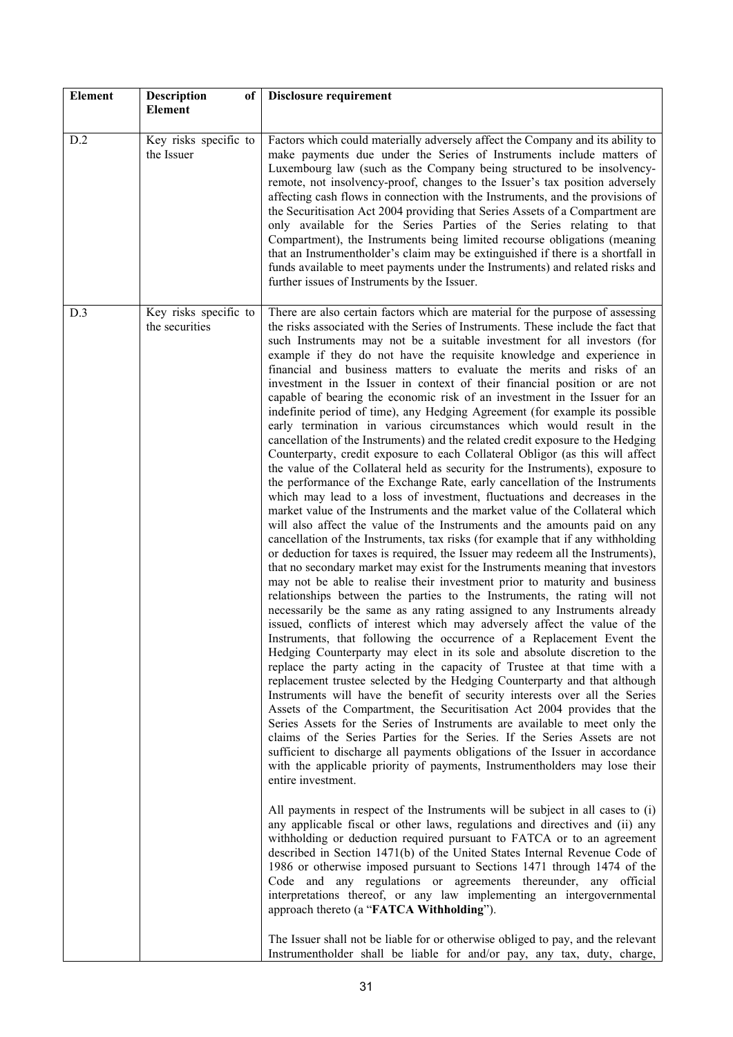| <b>Element</b> | <b>Description</b><br>of<br>Element     | Disclosure requirement                                                                                                                                                                                                                                                                                                                                                                                                                                                                                                                                                                                                                                                                                                                                                                                                                                                                                                                                                                                                                                                                                                                                                                                                                                                                                                                                                                                                                                                                                                                                                                                                                                                                                                                                                                                                                                                                                                                                                                                                                                                                                                                                                                                                                                                                                                                                                                                                                                                                                                                                                                                                                                                                                                                                                                                                                                                                                                                                                                                                                                                                                                                                                                                                                                                                                                                                                                                                                                               |
|----------------|-----------------------------------------|----------------------------------------------------------------------------------------------------------------------------------------------------------------------------------------------------------------------------------------------------------------------------------------------------------------------------------------------------------------------------------------------------------------------------------------------------------------------------------------------------------------------------------------------------------------------------------------------------------------------------------------------------------------------------------------------------------------------------------------------------------------------------------------------------------------------------------------------------------------------------------------------------------------------------------------------------------------------------------------------------------------------------------------------------------------------------------------------------------------------------------------------------------------------------------------------------------------------------------------------------------------------------------------------------------------------------------------------------------------------------------------------------------------------------------------------------------------------------------------------------------------------------------------------------------------------------------------------------------------------------------------------------------------------------------------------------------------------------------------------------------------------------------------------------------------------------------------------------------------------------------------------------------------------------------------------------------------------------------------------------------------------------------------------------------------------------------------------------------------------------------------------------------------------------------------------------------------------------------------------------------------------------------------------------------------------------------------------------------------------------------------------------------------------------------------------------------------------------------------------------------------------------------------------------------------------------------------------------------------------------------------------------------------------------------------------------------------------------------------------------------------------------------------------------------------------------------------------------------------------------------------------------------------------------------------------------------------------------------------------------------------------------------------------------------------------------------------------------------------------------------------------------------------------------------------------------------------------------------------------------------------------------------------------------------------------------------------------------------------------------------------------------------------------------------------------------------------------|
| D.2            | Key risks specific to<br>the Issuer     | Factors which could materially adversely affect the Company and its ability to<br>make payments due under the Series of Instruments include matters of<br>Luxembourg law (such as the Company being structured to be insolvency-<br>remote, not insolvency-proof, changes to the Issuer's tax position adversely<br>affecting cash flows in connection with the Instruments, and the provisions of<br>the Securitisation Act 2004 providing that Series Assets of a Compartment are<br>only available for the Series Parties of the Series relating to that<br>Compartment), the Instruments being limited recourse obligations (meaning<br>that an Instrumentholder's claim may be extinguished if there is a shortfall in<br>funds available to meet payments under the Instruments) and related risks and<br>further issues of Instruments by the Issuer.                                                                                                                                                                                                                                                                                                                                                                                                                                                                                                                                                                                                                                                                                                                                                                                                                                                                                                                                                                                                                                                                                                                                                                                                                                                                                                                                                                                                                                                                                                                                                                                                                                                                                                                                                                                                                                                                                                                                                                                                                                                                                                                                                                                                                                                                                                                                                                                                                                                                                                                                                                                                         |
| D.3            | Key risks specific to<br>the securities | There are also certain factors which are material for the purpose of assessing<br>the risks associated with the Series of Instruments. These include the fact that<br>such Instruments may not be a suitable investment for all investors (for<br>example if they do not have the requisite knowledge and experience in<br>financial and business matters to evaluate the merits and risks of an<br>investment in the Issuer in context of their financial position or are not<br>capable of bearing the economic risk of an investment in the Issuer for an<br>indefinite period of time), any Hedging Agreement (for example its possible<br>early termination in various circumstances which would result in the<br>cancellation of the Instruments) and the related credit exposure to the Hedging<br>Counterparty, credit exposure to each Collateral Obligor (as this will affect<br>the value of the Collateral held as security for the Instruments), exposure to<br>the performance of the Exchange Rate, early cancellation of the Instruments<br>which may lead to a loss of investment, fluctuations and decreases in the<br>market value of the Instruments and the market value of the Collateral which<br>will also affect the value of the Instruments and the amounts paid on any<br>cancellation of the Instruments, tax risks (for example that if any withholding<br>or deduction for taxes is required, the Issuer may redeem all the Instruments),<br>that no secondary market may exist for the Instruments meaning that investors<br>may not be able to realise their investment prior to maturity and business<br>relationships between the parties to the Instruments, the rating will not<br>necessarily be the same as any rating assigned to any Instruments already<br>issued, conflicts of interest which may adversely affect the value of the<br>Instruments, that following the occurrence of a Replacement Event the<br>Hedging Counterparty may elect in its sole and absolute discretion to the<br>replace the party acting in the capacity of Trustee at that time with a<br>replacement trustee selected by the Hedging Counterparty and that although<br>Instruments will have the benefit of security interests over all the Series<br>Assets of the Compartment, the Securitisation Act 2004 provides that the<br>Series Assets for the Series of Instruments are available to meet only the<br>claims of the Series Parties for the Series. If the Series Assets are not<br>sufficient to discharge all payments obligations of the Issuer in accordance<br>with the applicable priority of payments, Instrumentholders may lose their<br>entire investment.<br>All payments in respect of the Instruments will be subject in all cases to (i)<br>any applicable fiscal or other laws, regulations and directives and (ii) any<br>withholding or deduction required pursuant to FATCA or to an agreement<br>described in Section 1471(b) of the United States Internal Revenue Code of<br>1986 or otherwise imposed pursuant to Sections 1471 through 1474 of the<br>Code and any regulations or agreements thereunder, any official<br>interpretations thereof, or any law implementing an intergovernmental<br>approach thereto (a "FATCA Withholding").<br>The Issuer shall not be liable for or otherwise obliged to pay, and the relevant<br>Instrumentholder shall be liable for and/or pay, any tax, duty, charge, |